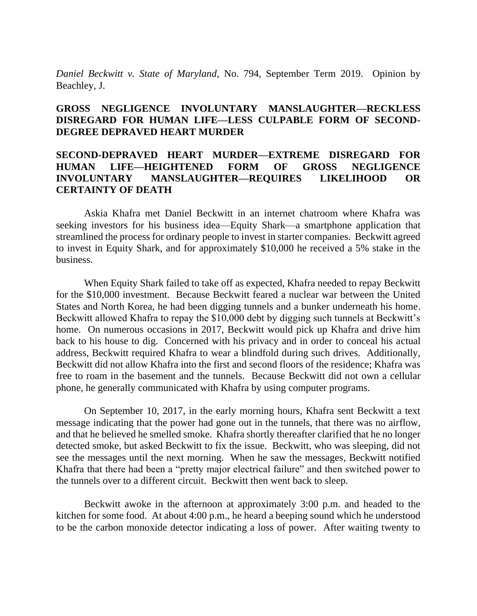*Daniel Beckwitt v. State of Maryland*, No. 794, September Term 2019. Opinion by Beachley, J.

# **GROSS NEGLIGENCE INVOLUNTARY MANSLAUGHTER—RECKLESS DISREGARD FOR HUMAN LIFE—LESS CULPABLE FORM OF SECOND-DEGREE DEPRAVED HEART MURDER**

# **SECOND-DEPRAVED HEART MURDER—EXTREME DISREGARD FOR HUMAN LIFE—HEIGHTENED FORM OF GROSS NEGLIGENCE INVOLUNTARY MANSLAUGHTER—REQUIRES LIKELIHOOD OR CERTAINTY OF DEATH**

Askia Khafra met Daniel Beckwitt in an internet chatroom where Khafra was seeking investors for his business idea—Equity Shark—a smartphone application that streamlined the process for ordinary people to invest in starter companies. Beckwitt agreed to invest in Equity Shark, and for approximately \$10,000 he received a 5% stake in the business.

When Equity Shark failed to take off as expected, Khafra needed to repay Beckwitt for the \$10,000 investment. Because Beckwitt feared a nuclear war between the United States and North Korea, he had been digging tunnels and a bunker underneath his home. Beckwitt allowed Khafra to repay the \$10,000 debt by digging such tunnels at Beckwitt's home. On numerous occasions in 2017, Beckwitt would pick up Khafra and drive him back to his house to dig. Concerned with his privacy and in order to conceal his actual address, Beckwitt required Khafra to wear a blindfold during such drives. Additionally, Beckwitt did not allow Khafra into the first and second floors of the residence; Khafra was free to roam in the basement and the tunnels. Because Beckwitt did not own a cellular phone, he generally communicated with Khafra by using computer programs.

On September 10, 2017, in the early morning hours, Khafra sent Beckwitt a text message indicating that the power had gone out in the tunnels, that there was no airflow, and that he believed he smelled smoke. Khafra shortly thereafter clarified that he no longer detected smoke, but asked Beckwitt to fix the issue. Beckwitt, who was sleeping, did not see the messages until the next morning. When he saw the messages, Beckwitt notified Khafra that there had been a "pretty major electrical failure" and then switched power to the tunnels over to a different circuit. Beckwitt then went back to sleep.

Beckwitt awoke in the afternoon at approximately 3:00 p.m. and headed to the kitchen for some food. At about 4:00 p.m., he heard a beeping sound which he understood to be the carbon monoxide detector indicating a loss of power. After waiting twenty to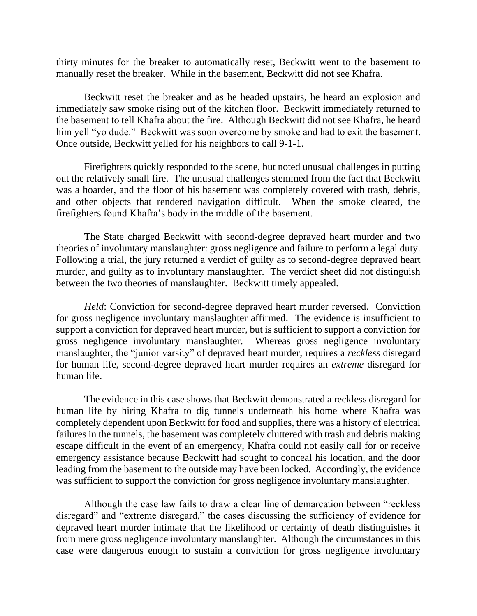thirty minutes for the breaker to automatically reset, Beckwitt went to the basement to manually reset the breaker. While in the basement, Beckwitt did not see Khafra.

Beckwitt reset the breaker and as he headed upstairs, he heard an explosion and immediately saw smoke rising out of the kitchen floor. Beckwitt immediately returned to the basement to tell Khafra about the fire. Although Beckwitt did not see Khafra, he heard him yell "yo dude." Beckwitt was soon overcome by smoke and had to exit the basement. Once outside, Beckwitt yelled for his neighbors to call 9-1-1.

Firefighters quickly responded to the scene, but noted unusual challenges in putting out the relatively small fire. The unusual challenges stemmed from the fact that Beckwitt was a hoarder, and the floor of his basement was completely covered with trash, debris, and other objects that rendered navigation difficult. When the smoke cleared, the firefighters found Khafra's body in the middle of the basement.

The State charged Beckwitt with second-degree depraved heart murder and two theories of involuntary manslaughter: gross negligence and failure to perform a legal duty. Following a trial, the jury returned a verdict of guilty as to second-degree depraved heart murder, and guilty as to involuntary manslaughter. The verdict sheet did not distinguish between the two theories of manslaughter. Beckwitt timely appealed.

*Held*: Conviction for second-degree depraved heart murder reversed. Conviction for gross negligence involuntary manslaughter affirmed. The evidence is insufficient to support a conviction for depraved heart murder, but is sufficient to support a conviction for gross negligence involuntary manslaughter. Whereas gross negligence involuntary manslaughter, the "junior varsity" of depraved heart murder, requires a *reckless* disregard for human life, second-degree depraved heart murder requires an *extreme* disregard for human life.

The evidence in this case shows that Beckwitt demonstrated a reckless disregard for human life by hiring Khafra to dig tunnels underneath his home where Khafra was completely dependent upon Beckwitt for food and supplies, there was a history of electrical failures in the tunnels, the basement was completely cluttered with trash and debris making escape difficult in the event of an emergency, Khafra could not easily call for or receive emergency assistance because Beckwitt had sought to conceal his location, and the door leading from the basement to the outside may have been locked. Accordingly, the evidence was sufficient to support the conviction for gross negligence involuntary manslaughter.

Although the case law fails to draw a clear line of demarcation between "reckless disregard" and "extreme disregard," the cases discussing the sufficiency of evidence for depraved heart murder intimate that the likelihood or certainty of death distinguishes it from mere gross negligence involuntary manslaughter. Although the circumstances in this case were dangerous enough to sustain a conviction for gross negligence involuntary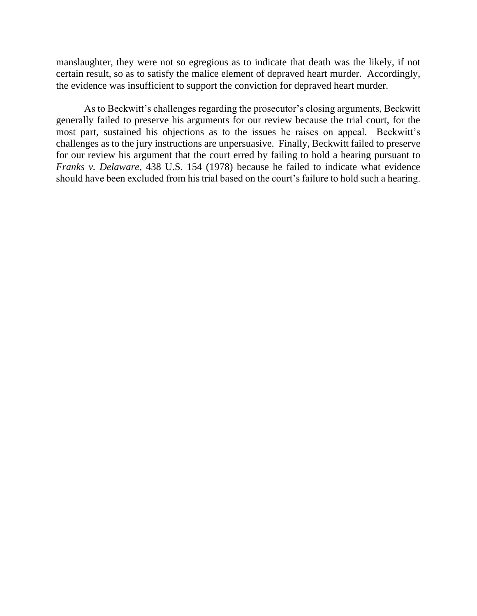manslaughter, they were not so egregious as to indicate that death was the likely, if not certain result, so as to satisfy the malice element of depraved heart murder. Accordingly, the evidence was insufficient to support the conviction for depraved heart murder.

As to Beckwitt's challenges regarding the prosecutor's closing arguments, Beckwitt generally failed to preserve his arguments for our review because the trial court, for the most part, sustained his objections as to the issues he raises on appeal. Beckwitt's challenges as to the jury instructions are unpersuasive. Finally, Beckwitt failed to preserve for our review his argument that the court erred by failing to hold a hearing pursuant to *Franks v. Delaware*, 438 U.S. 154 (1978) because he failed to indicate what evidence should have been excluded from his trial based on the court's failure to hold such a hearing.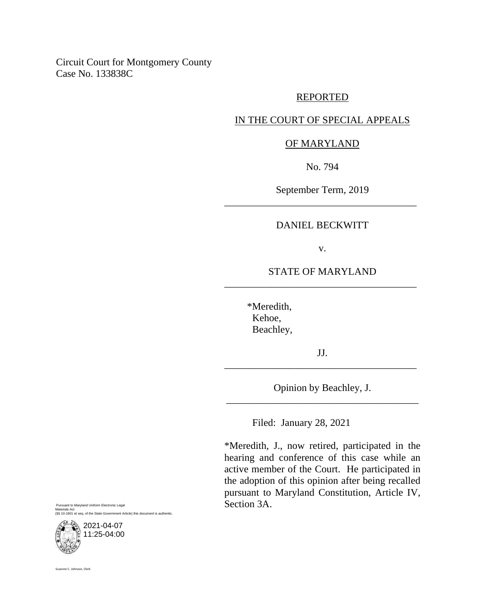Circuit Court for Montgomery County Case No. 133838C

#### REPORTED

# IN THE COURT OF SPECIAL APPEALS

#### OF MARYLAND

No. 794

September Term, 2019 \_\_\_\_\_\_\_\_\_\_\_\_\_\_\_\_\_\_\_\_\_\_\_\_\_\_\_\_\_\_\_\_\_\_\_\_\_\_

#### DANIEL BECKWITT

v.

# STATE OF MARYLAND \_\_\_\_\_\_\_\_\_\_\_\_\_\_\_\_\_\_\_\_\_\_\_\_\_\_\_\_\_\_\_\_\_\_\_\_\_\_

 \*Meredith, Kehoe, Beachley,

JJ. \_\_\_\_\_\_\_\_\_\_\_\_\_\_\_\_\_\_\_\_\_\_\_\_\_\_\_\_\_\_\_\_\_\_\_\_\_\_

Opinion by Beachley, J. \_\_\_\_\_\_\_\_\_\_\_\_\_\_\_\_\_\_\_\_\_\_\_\_\_\_\_\_\_\_\_\_\_\_\_\_\_\_

Filed: January 28, 2021

\*Meredith, J., now retired, participated in the hearing and conference of this case while an active member of the Court. He participated in the adoption of this opinion after being recalled pursuant to Maryland Constitution, Article IV, Section 3A.

Pursuant to Maryland Uniform Electronic Legal Materials Act (§§ 10-1601 et seq. of the State Government Article) this document is authentic.



Suzanne C. Johnson, Clerk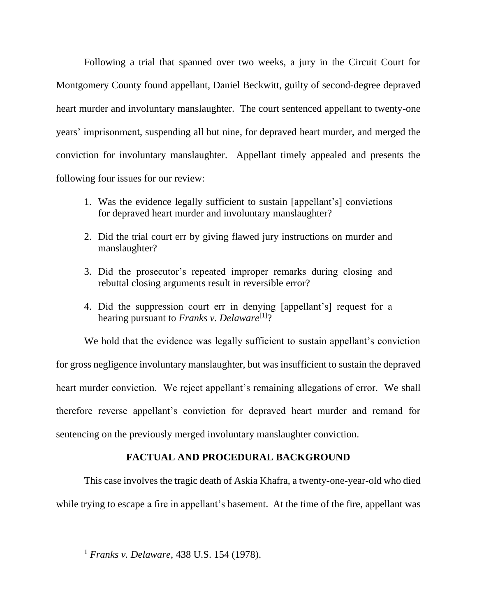Following a trial that spanned over two weeks, a jury in the Circuit Court for Montgomery County found appellant, Daniel Beckwitt, guilty of second-degree depraved heart murder and involuntary manslaughter. The court sentenced appellant to twenty-one years' imprisonment, suspending all but nine, for depraved heart murder, and merged the conviction for involuntary manslaughter. Appellant timely appealed and presents the following four issues for our review:

- 1. Was the evidence legally sufficient to sustain [appellant's] convictions for depraved heart murder and involuntary manslaughter?
- 2. Did the trial court err by giving flawed jury instructions on murder and manslaughter?
- 3. Did the prosecutor's repeated improper remarks during closing and rebuttal closing arguments result in reversible error?
- 4. Did the suppression court err in denying [appellant's] request for a hearing pursuant to *Franks v. Delaware*<sup>[1]</sup>?

We hold that the evidence was legally sufficient to sustain appellant's conviction for gross negligence involuntary manslaughter, but was insufficient to sustain the depraved heart murder conviction. We reject appellant's remaining allegations of error. We shall therefore reverse appellant's conviction for depraved heart murder and remand for sentencing on the previously merged involuntary manslaughter conviction.

# **FACTUAL AND PROCEDURAL BACKGROUND**

This case involves the tragic death of Askia Khafra, a twenty-one-year-old who died while trying to escape a fire in appellant's basement. At the time of the fire, appellant was

<sup>1</sup> *Franks v. Delaware*, 438 U.S. 154 (1978).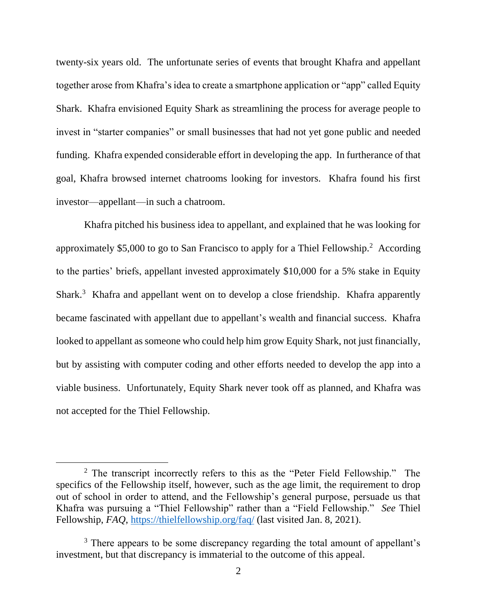twenty-six years old. The unfortunate series of events that brought Khafra and appellant together arose from Khafra's idea to create a smartphone application or "app" called Equity Shark. Khafra envisioned Equity Shark as streamlining the process for average people to invest in "starter companies" or small businesses that had not yet gone public and needed funding. Khafra expended considerable effort in developing the app. In furtherance of that goal, Khafra browsed internet chatrooms looking for investors. Khafra found his first investor—appellant—in such a chatroom.

Khafra pitched his business idea to appellant, and explained that he was looking for approximately \$5,000 to go to San Francisco to apply for a Thiel Fellowship.<sup>2</sup> According to the parties' briefs, appellant invested approximately \$10,000 for a 5% stake in Equity Shark.<sup>3</sup> Khafra and appellant went on to develop a close friendship. Khafra apparently became fascinated with appellant due to appellant's wealth and financial success. Khafra looked to appellant as someone who could help him grow Equity Shark, not just financially, but by assisting with computer coding and other efforts needed to develop the app into a viable business. Unfortunately, Equity Shark never took off as planned, and Khafra was not accepted for the Thiel Fellowship.

<sup>&</sup>lt;sup>2</sup> The transcript incorrectly refers to this as the "Peter Field Fellowship." The specifics of the Fellowship itself, however, such as the age limit, the requirement to drop out of school in order to attend, and the Fellowship's general purpose, persuade us that Khafra was pursuing a "Thiel Fellowship" rather than a "Field Fellowship." *See* Thiel Fellowship, *FAQ*,<https://thielfellowship.org/faq/> (last visited Jan. 8, 2021).

<sup>&</sup>lt;sup>3</sup> There appears to be some discrepancy regarding the total amount of appellant's investment, but that discrepancy is immaterial to the outcome of this appeal.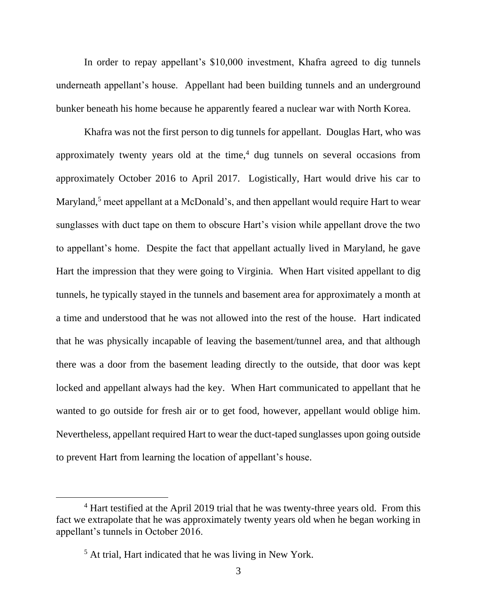In order to repay appellant's \$10,000 investment, Khafra agreed to dig tunnels underneath appellant's house. Appellant had been building tunnels and an underground bunker beneath his home because he apparently feared a nuclear war with North Korea.

Khafra was not the first person to dig tunnels for appellant. Douglas Hart, who was approximately twenty years old at the time, $4$  dug tunnels on several occasions from approximately October 2016 to April 2017. Logistically, Hart would drive his car to Maryland,<sup>5</sup> meet appellant at a McDonald's, and then appellant would require Hart to wear sunglasses with duct tape on them to obscure Hart's vision while appellant drove the two to appellant's home. Despite the fact that appellant actually lived in Maryland, he gave Hart the impression that they were going to Virginia. When Hart visited appellant to dig tunnels, he typically stayed in the tunnels and basement area for approximately a month at a time and understood that he was not allowed into the rest of the house. Hart indicated that he was physically incapable of leaving the basement/tunnel area, and that although there was a door from the basement leading directly to the outside, that door was kept locked and appellant always had the key. When Hart communicated to appellant that he wanted to go outside for fresh air or to get food, however, appellant would oblige him. Nevertheless, appellant required Hart to wear the duct-taped sunglasses upon going outside to prevent Hart from learning the location of appellant's house.

<sup>&</sup>lt;sup>4</sup> Hart testified at the April 2019 trial that he was twenty-three years old. From this fact we extrapolate that he was approximately twenty years old when he began working in appellant's tunnels in October 2016.

<sup>5</sup> At trial, Hart indicated that he was living in New York.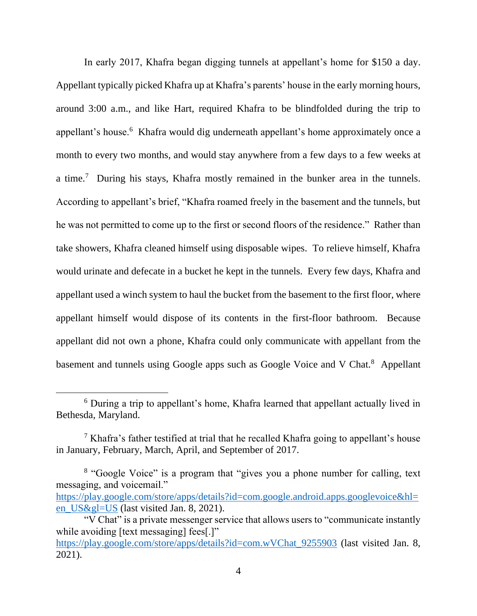In early 2017, Khafra began digging tunnels at appellant's home for \$150 a day. Appellant typically picked Khafra up at Khafra's parents' house in the early morning hours, around 3:00 a.m., and like Hart, required Khafra to be blindfolded during the trip to appellant's house.<sup>6</sup> Khafra would dig underneath appellant's home approximately once a month to every two months, and would stay anywhere from a few days to a few weeks at a time.<sup>7</sup> During his stays, Khafra mostly remained in the bunker area in the tunnels. According to appellant's brief, "Khafra roamed freely in the basement and the tunnels, but he was not permitted to come up to the first or second floors of the residence." Rather than take showers, Khafra cleaned himself using disposable wipes. To relieve himself, Khafra would urinate and defecate in a bucket he kept in the tunnels. Every few days, Khafra and appellant used a winch system to haul the bucket from the basement to the first floor, where appellant himself would dispose of its contents in the first-floor bathroom. Because appellant did not own a phone, Khafra could only communicate with appellant from the basement and tunnels using Google apps such as Google Voice and V Chat.<sup>8</sup> Appellant

<sup>6</sup> During a trip to appellant's home, Khafra learned that appellant actually lived in Bethesda, Maryland.

<sup>&</sup>lt;sup>7</sup> Khafra's father testified at trial that he recalled Khafra going to appellant's house in January, February, March, April, and September of 2017.

<sup>&</sup>lt;sup>8</sup> "Google Voice" is a program that "gives you a phone number for calling, text messaging, and voicemail."

[https://play.google.com/store/apps/details?id=com.google.android.apps.googlevoice&hl=](https://play.google.com/store/apps/details?id=com.google.android.apps.googlevoice&hl=en_US&gl=US) [en\\_US&gl=US](https://play.google.com/store/apps/details?id=com.google.android.apps.googlevoice&hl=en_US&gl=US) (last visited Jan. 8, 2021).

<sup>&</sup>quot;V Chat" is a private messenger service that allows users to "communicate instantly while avoiding [text messaging] fees[.]" [https://play.google.com/store/apps/details?id=com.wVChat\\_9255903](https://play.google.com/store/apps/details?id=com.wVChat_9255903) (last visited Jan. 8,

<sup>2021).</sup>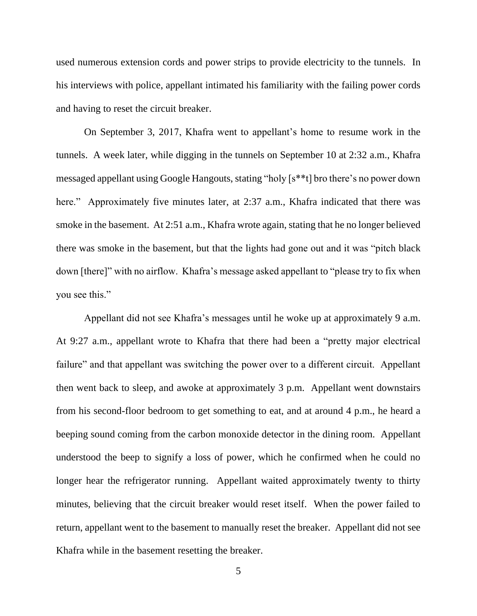used numerous extension cords and power strips to provide electricity to the tunnels. In his interviews with police, appellant intimated his familiarity with the failing power cords and having to reset the circuit breaker.

On September 3, 2017, Khafra went to appellant's home to resume work in the tunnels. A week later, while digging in the tunnels on September 10 at 2:32 a.m., Khafra messaged appellant using Google Hangouts, stating "holy [s\*\*t] bro there's no power down here." Approximately five minutes later, at 2:37 a.m., Khafra indicated that there was smoke in the basement. At 2:51 a.m., Khafra wrote again, stating that he no longer believed there was smoke in the basement, but that the lights had gone out and it was "pitch black down [there]" with no airflow. Khafra's message asked appellant to "please try to fix when you see this."

Appellant did not see Khafra's messages until he woke up at approximately 9 a.m. At 9:27 a.m., appellant wrote to Khafra that there had been a "pretty major electrical failure" and that appellant was switching the power over to a different circuit. Appellant then went back to sleep, and awoke at approximately 3 p.m. Appellant went downstairs from his second-floor bedroom to get something to eat, and at around 4 p.m., he heard a beeping sound coming from the carbon monoxide detector in the dining room. Appellant understood the beep to signify a loss of power, which he confirmed when he could no longer hear the refrigerator running. Appellant waited approximately twenty to thirty minutes, believing that the circuit breaker would reset itself. When the power failed to return, appellant went to the basement to manually reset the breaker. Appellant did not see Khafra while in the basement resetting the breaker.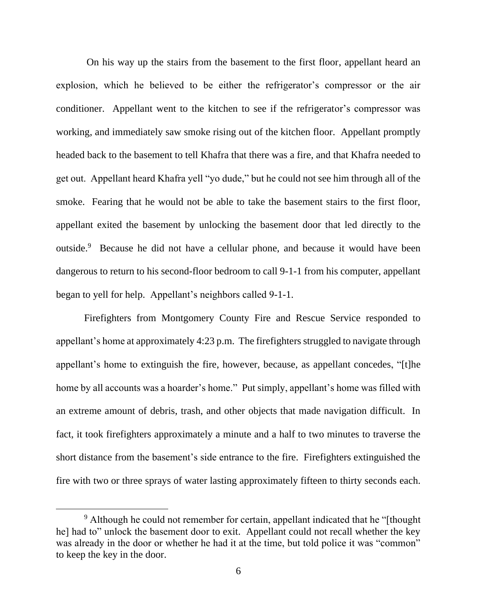On his way up the stairs from the basement to the first floor, appellant heard an explosion, which he believed to be either the refrigerator's compressor or the air conditioner. Appellant went to the kitchen to see if the refrigerator's compressor was working, and immediately saw smoke rising out of the kitchen floor. Appellant promptly headed back to the basement to tell Khafra that there was a fire, and that Khafra needed to get out. Appellant heard Khafra yell "yo dude," but he could not see him through all of the smoke. Fearing that he would not be able to take the basement stairs to the first floor, appellant exited the basement by unlocking the basement door that led directly to the outside.<sup>9</sup> Because he did not have a cellular phone, and because it would have been dangerous to return to his second-floor bedroom to call 9-1-1 from his computer, appellant began to yell for help. Appellant's neighbors called 9-1-1.

Firefighters from Montgomery County Fire and Rescue Service responded to appellant's home at approximately 4:23 p.m. The firefighters struggled to navigate through appellant's home to extinguish the fire, however, because, as appellant concedes, "[t]he home by all accounts was a hoarder's home." Put simply, appellant's home was filled with an extreme amount of debris, trash, and other objects that made navigation difficult. In fact, it took firefighters approximately a minute and a half to two minutes to traverse the short distance from the basement's side entrance to the fire. Firefighters extinguished the fire with two or three sprays of water lasting approximately fifteen to thirty seconds each.

<sup>&</sup>lt;sup>9</sup> Although he could not remember for certain, appellant indicated that he "[thought he] had to" unlock the basement door to exit. Appellant could not recall whether the key was already in the door or whether he had it at the time, but told police it was "common" to keep the key in the door.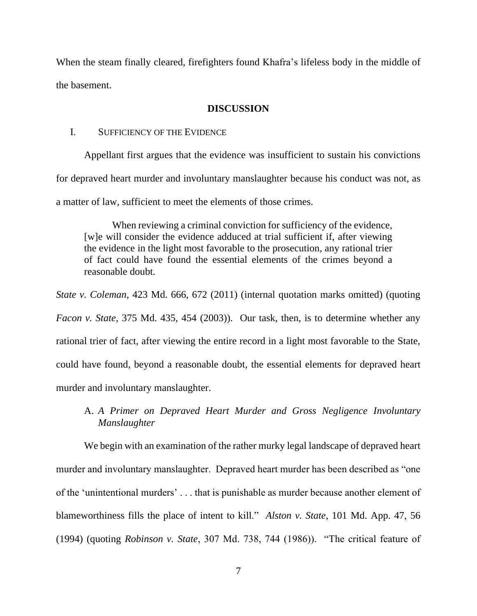When the steam finally cleared, firefighters found Khafra's lifeless body in the middle of the basement.

## **DISCUSSION**

### I. SUFFICIENCY OF THE EVIDENCE

Appellant first argues that the evidence was insufficient to sustain his convictions for depraved heart murder and involuntary manslaughter because his conduct was not, as a matter of law, sufficient to meet the elements of those crimes.

When reviewing a criminal conviction for sufficiency of the evidence, [w]e will consider the evidence adduced at trial sufficient if, after viewing the evidence in the light most favorable to the prosecution, any rational trier of fact could have found the essential elements of the crimes beyond a reasonable doubt.

*State v. Coleman*, 423 Md. 666, 672 (2011) (internal quotation marks omitted) (quoting *Facon v. State*, 375 Md. 435, 454 (2003)). Our task, then, is to determine whether any rational trier of fact, after viewing the entire record in a light most favorable to the State, could have found, beyond a reasonable doubt, the essential elements for depraved heart murder and involuntary manslaughter.

A. *A Primer on Depraved Heart Murder and Gross Negligence Involuntary Manslaughter*

We begin with an examination of the rather murky legal landscape of depraved heart murder and involuntary manslaughter. Depraved heart murder has been described as "one of the 'unintentional murders' . . . that is punishable as murder because another element of blameworthiness fills the place of intent to kill." *Alston v. State*, 101 Md. App. 47, 56 (1994) (quoting *Robinson v. State*, 307 Md. 738, 744 (1986)). "The critical feature of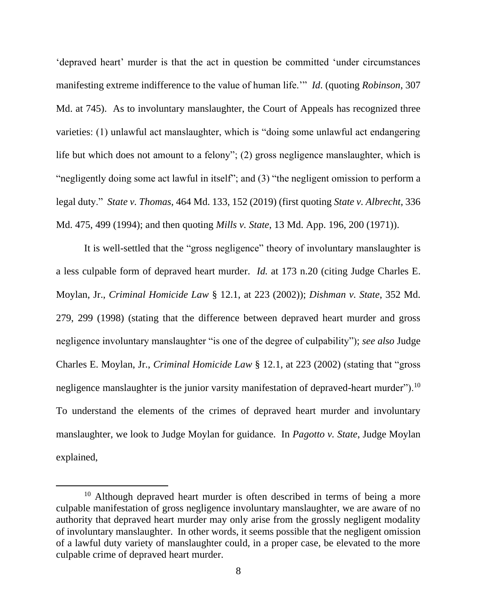'depraved heart' murder is that the act in question be committed 'under circumstances manifesting extreme indifference to the value of human life.'" *Id*. (quoting *Robinson*, 307 Md. at 745). As to involuntary manslaughter, the Court of Appeals has recognized three varieties: (1) unlawful act manslaughter, which is "doing some unlawful act endangering life but which does not amount to a felony"; (2) gross negligence manslaughter, which is "negligently doing some act lawful in itself"; and (3) "the negligent omission to perform a legal duty." *State v. Thomas*, 464 Md. 133, 152 (2019) (first quoting *State v. Albrecht*, 336 Md. 475, 499 (1994); and then quoting *Mills v. State*, 13 Md. App. 196, 200 (1971)).

It is well-settled that the "gross negligence" theory of involuntary manslaughter is a less culpable form of depraved heart murder. *Id.* at 173 n.20 (citing Judge Charles E. Moylan, Jr., *Criminal Homicide Law* § 12.1, at 223 (2002)); *Dishman v. State*, 352 Md. 279, 299 (1998) (stating that the difference between depraved heart murder and gross negligence involuntary manslaughter "is one of the degree of culpability"); *see also* Judge Charles E. Moylan, Jr., *Criminal Homicide Law* § 12.1, at 223 (2002) (stating that "gross negligence manslaughter is the junior varsity manifestation of depraved-heart murder").<sup>10</sup> To understand the elements of the crimes of depraved heart murder and involuntary manslaughter, we look to Judge Moylan for guidance. In *Pagotto v. State*, Judge Moylan explained,

 $10$  Although depraved heart murder is often described in terms of being a more culpable manifestation of gross negligence involuntary manslaughter, we are aware of no authority that depraved heart murder may only arise from the grossly negligent modality of involuntary manslaughter. In other words, it seems possible that the negligent omission of a lawful duty variety of manslaughter could, in a proper case, be elevated to the more culpable crime of depraved heart murder.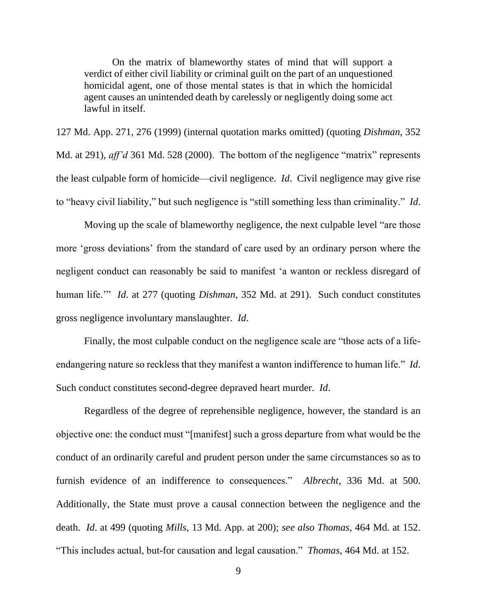On the matrix of blameworthy states of mind that will support a verdict of either civil liability or criminal guilt on the part of an unquestioned homicidal agent, one of those mental states is that in which the homicidal agent causes an unintended death by carelessly or negligently doing some act lawful in itself.

127 Md. App. 271, 276 (1999) (internal quotation marks omitted) (quoting *Dishman*, 352 Md. at 291), *aff'd* 361 Md. 528 (2000). The bottom of the negligence "matrix" represents the least culpable form of homicide—civil negligence. *Id*. Civil negligence may give rise to "heavy civil liability," but such negligence is "still something less than criminality." *Id*.

Moving up the scale of blameworthy negligence, the next culpable level "are those more 'gross deviations' from the standard of care used by an ordinary person where the negligent conduct can reasonably be said to manifest 'a wanton or reckless disregard of human life.'" *Id*. at 277 (quoting *Dishman*, 352 Md. at 291). Such conduct constitutes gross negligence involuntary manslaughter. *Id*.

Finally, the most culpable conduct on the negligence scale are "those acts of a lifeendangering nature so reckless that they manifest a wanton indifference to human life." *Id*. Such conduct constitutes second-degree depraved heart murder. *Id*.

Regardless of the degree of reprehensible negligence, however, the standard is an objective one: the conduct must "[manifest] such a gross departure from what would be the conduct of an ordinarily careful and prudent person under the same circumstances so as to furnish evidence of an indifference to consequences." *Albrecht*, 336 Md. at 500. Additionally, the State must prove a causal connection between the negligence and the death. *Id*. at 499 (quoting *Mills*, 13 Md. App. at 200); *see also Thomas*, 464 Md. at 152. "This includes actual, but-for causation and legal causation." *Thomas*, 464 Md. at 152.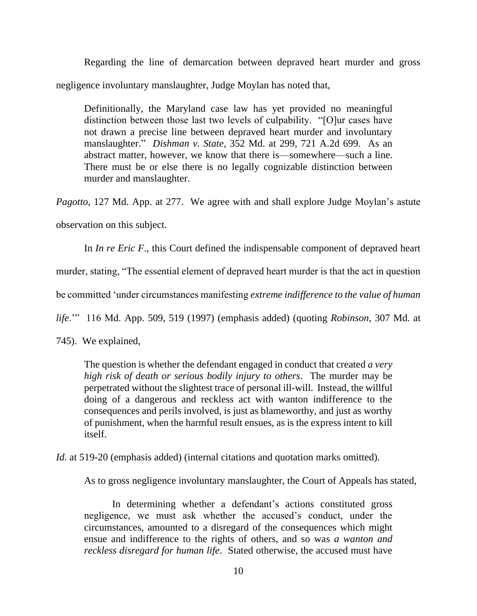Regarding the line of demarcation between depraved heart murder and gross negligence involuntary manslaughter, Judge Moylan has noted that,

Definitionally, the Maryland case law has yet provided no meaningful distinction between those last two levels of culpability. "[O]ur cases have not drawn a precise line between depraved heart murder and involuntary manslaughter." *Dishman v. State*, 352 Md. at 299, 721 A.2d 699. As an abstract matter, however, we know that there is—somewhere—such a line. There must be or else there is no legally cognizable distinction between murder and manslaughter.

*Pagotto*, 127 Md. App. at 277. We agree with and shall explore Judge Moylan's astute

observation on this subject.

In *In re Eric F*., this Court defined the indispensable component of depraved heart

murder, stating, "The essential element of depraved heart murder is that the act in question

be committed 'under circumstances manifesting *extreme indifference to the value of human* 

*life*.'" 116 Md. App. 509, 519 (1997) (emphasis added) (quoting *Robinson*, 307 Md. at

745). We explained,

The question is whether the defendant engaged in conduct that created *a very high risk of death or serious bodily injury to others*. The murder may be perpetrated without the slightest trace of personal ill-will. Instead, the willful doing of a dangerous and reckless act with wanton indifference to the consequences and perils involved, is just as blameworthy, and just as worthy of punishment, when the harmful result ensues, as is the express intent to kill itself.

*Id.* at 519-20 (emphasis added) (internal citations and quotation marks omitted).

As to gross negligence involuntary manslaughter, the Court of Appeals has stated,

In determining whether a defendant's actions constituted gross negligence, we must ask whether the accused's conduct, under the circumstances, amounted to a disregard of the consequences which might ensue and indifference to the rights of others, and so was *a wanton and reckless disregard for human life*. Stated otherwise, the accused must have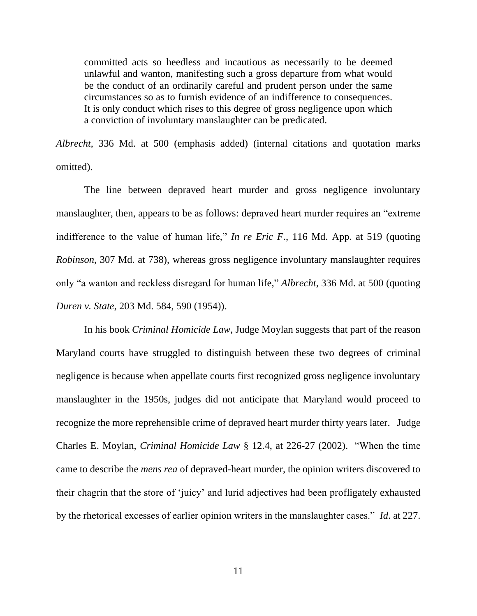committed acts so heedless and incautious as necessarily to be deemed unlawful and wanton, manifesting such a gross departure from what would be the conduct of an ordinarily careful and prudent person under the same circumstances so as to furnish evidence of an indifference to consequences. It is only conduct which rises to this degree of gross negligence upon which a conviction of involuntary manslaughter can be predicated.

*Albrecht*, 336 Md. at 500 (emphasis added) (internal citations and quotation marks omitted).

The line between depraved heart murder and gross negligence involuntary manslaughter, then, appears to be as follows: depraved heart murder requires an "extreme indifference to the value of human life," *In re Eric F*., 116 Md. App. at 519 (quoting *Robinson*, 307 Md. at 738), whereas gross negligence involuntary manslaughter requires only "a wanton and reckless disregard for human life," *Albrecht*, 336 Md. at 500 (quoting *Duren v. State*, 203 Md. 584, 590 (1954)).

In his book *Criminal Homicide Law*, Judge Moylan suggests that part of the reason Maryland courts have struggled to distinguish between these two degrees of criminal negligence is because when appellate courts first recognized gross negligence involuntary manslaughter in the 1950s, judges did not anticipate that Maryland would proceed to recognize the more reprehensible crime of depraved heart murder thirty years later. Judge Charles E. Moylan, *Criminal Homicide Law* § 12.4, at 226-27 (2002). "When the time came to describe the *mens rea* of depraved-heart murder, the opinion writers discovered to their chagrin that the store of 'juicy' and lurid adjectives had been profligately exhausted by the rhetorical excesses of earlier opinion writers in the manslaughter cases." *Id*. at 227.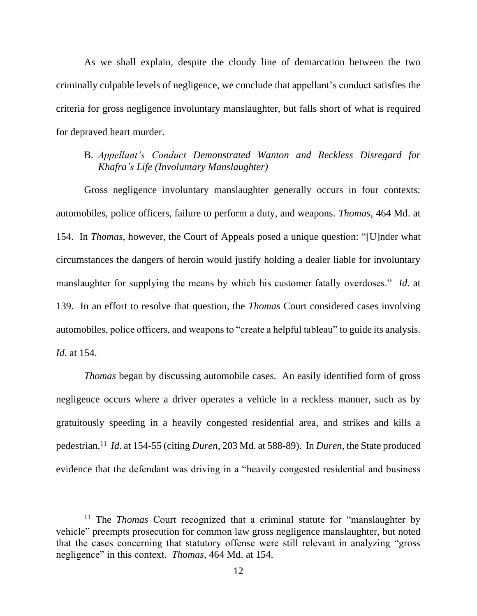As we shall explain, despite the cloudy line of demarcation between the two criminally culpable levels of negligence, we conclude that appellant's conduct satisfies the criteria for gross negligence involuntary manslaughter, but falls short of what is required for depraved heart murder.

B. *Appellant's Conduct Demonstrated Wanton and Reckless Disregard for Khafra's Life (Involuntary Manslaughter)*

Gross negligence involuntary manslaughter generally occurs in four contexts: automobiles, police officers, failure to perform a duty, and weapons. *Thomas*, 464 Md. at 154. In *Thomas*, however, the Court of Appeals posed a unique question: "[U]nder what circumstances the dangers of heroin would justify holding a dealer liable for involuntary manslaughter for supplying the means by which his customer fatally overdoses." *Id*. at 139. In an effort to resolve that question, the *Thomas* Court considered cases involving automobiles, police officers, and weapons to "create a helpful tableau" to guide its analysis. *Id*. at 154.

*Thomas* began by discussing automobile cases. An easily identified form of gross negligence occurs where a driver operates a vehicle in a reckless manner, such as by gratuitously speeding in a heavily congested residential area, and strikes and kills a pedestrian.<sup>11</sup> *Id*. at 154-55 (citing *Duren*, 203 Md. at 588-89). In *Duren*, the State produced evidence that the defendant was driving in a "heavily congested residential and business

<sup>11</sup> The *Thomas* Court recognized that a criminal statute for "manslaughter by vehicle" preempts prosecution for common law gross negligence manslaughter, but noted that the cases concerning that statutory offense were still relevant in analyzing "gross negligence" in this context. *Thomas*, 464 Md. at 154.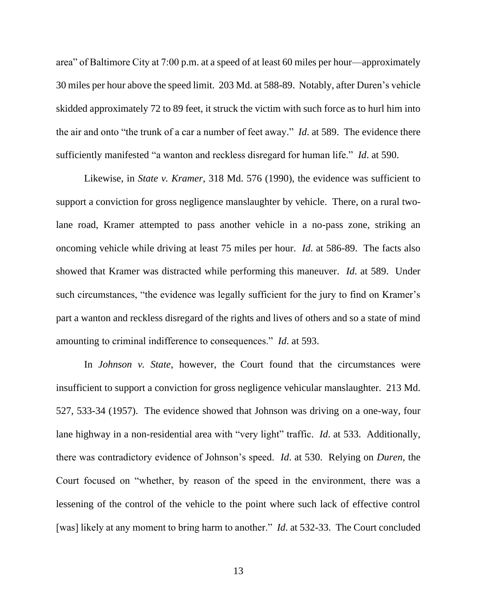area" of Baltimore City at 7:00 p.m. at a speed of at least 60 miles per hour—approximately 30 miles per hour above the speed limit. 203 Md. at 588-89. Notably, after Duren's vehicle skidded approximately 72 to 89 feet, it struck the victim with such force as to hurl him into the air and onto "the trunk of a car a number of feet away." *Id*. at 589. The evidence there sufficiently manifested "a wanton and reckless disregard for human life." *Id*. at 590.

Likewise, in *State v. Kramer*, 318 Md. 576 (1990), the evidence was sufficient to support a conviction for gross negligence manslaughter by vehicle. There, on a rural twolane road, Kramer attempted to pass another vehicle in a no-pass zone, striking an oncoming vehicle while driving at least 75 miles per hour. *Id*. at 586-89. The facts also showed that Kramer was distracted while performing this maneuver. *Id*. at 589. Under such circumstances, "the evidence was legally sufficient for the jury to find on Kramer's part a wanton and reckless disregard of the rights and lives of others and so a state of mind amounting to criminal indifference to consequences." *Id*. at 593.

In *Johnson v. State*, however, the Court found that the circumstances were insufficient to support a conviction for gross negligence vehicular manslaughter. 213 Md. 527, 533-34 (1957). The evidence showed that Johnson was driving on a one-way, four lane highway in a non-residential area with "very light" traffic. *Id*. at 533. Additionally, there was contradictory evidence of Johnson's speed. *Id*. at 530. Relying on *Duren*, the Court focused on "whether, by reason of the speed in the environment, there was a lessening of the control of the vehicle to the point where such lack of effective control [was] likely at any moment to bring harm to another." *Id.* at 532-33. The Court concluded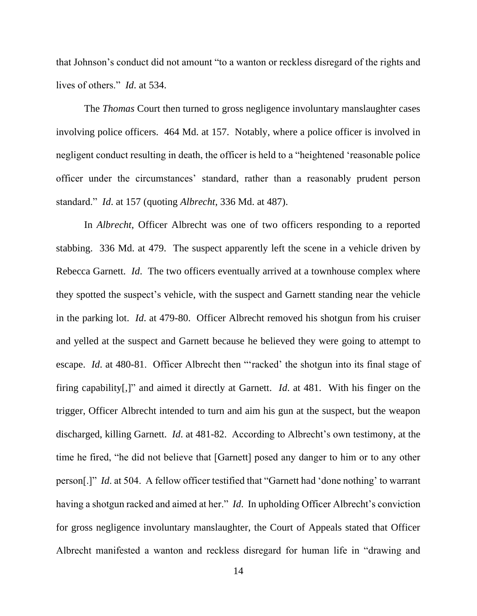that Johnson's conduct did not amount "to a wanton or reckless disregard of the rights and lives of others." *Id*. at 534.

The *Thomas* Court then turned to gross negligence involuntary manslaughter cases involving police officers. 464 Md. at 157. Notably, where a police officer is involved in negligent conduct resulting in death, the officer is held to a "heightened 'reasonable police officer under the circumstances' standard, rather than a reasonably prudent person standard." *Id*. at 157 (quoting *Albrecht*, 336 Md. at 487).

In *Albrecht*, Officer Albrecht was one of two officers responding to a reported stabbing. 336 Md. at 479. The suspect apparently left the scene in a vehicle driven by Rebecca Garnett. *Id*. The two officers eventually arrived at a townhouse complex where they spotted the suspect's vehicle, with the suspect and Garnett standing near the vehicle in the parking lot. *Id*. at 479-80. Officer Albrecht removed his shotgun from his cruiser and yelled at the suspect and Garnett because he believed they were going to attempt to escape. *Id*. at 480-81. Officer Albrecht then "'racked' the shotgun into its final stage of firing capability[,]" and aimed it directly at Garnett. *Id*. at 481. With his finger on the trigger, Officer Albrecht intended to turn and aim his gun at the suspect, but the weapon discharged, killing Garnett. *Id*. at 481-82. According to Albrecht's own testimony, at the time he fired, "he did not believe that [Garnett] posed any danger to him or to any other person[.]" *Id*. at 504. A fellow officer testified that "Garnett had 'done nothing' to warrant having a shotgun racked and aimed at her." *Id*. In upholding Officer Albrecht's conviction for gross negligence involuntary manslaughter, the Court of Appeals stated that Officer Albrecht manifested a wanton and reckless disregard for human life in "drawing and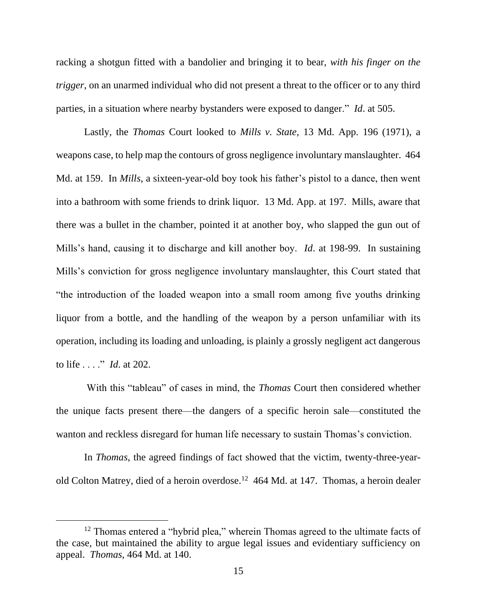racking a shotgun fitted with a bandolier and bringing it to bear, *with his finger on the trigger*, on an unarmed individual who did not present a threat to the officer or to any third parties, in a situation where nearby bystanders were exposed to danger." *Id*. at 505.

Lastly, the *Thomas* Court looked to *Mills v. State*, 13 Md. App. 196 (1971), a weapons case, to help map the contours of gross negligence involuntary manslaughter. 464 Md. at 159. In *Mills*, a sixteen-year-old boy took his father's pistol to a dance, then went into a bathroom with some friends to drink liquor. 13 Md. App. at 197. Mills, aware that there was a bullet in the chamber, pointed it at another boy, who slapped the gun out of Mills's hand, causing it to discharge and kill another boy. *Id*. at 198-99. In sustaining Mills's conviction for gross negligence involuntary manslaughter, this Court stated that "the introduction of the loaded weapon into a small room among five youths drinking liquor from a bottle, and the handling of the weapon by a person unfamiliar with its operation, including its loading and unloading, is plainly a grossly negligent act dangerous to life . . . ." *Id*. at 202.

With this "tableau" of cases in mind, the *Thomas* Court then considered whether the unique facts present there—the dangers of a specific heroin sale—constituted the wanton and reckless disregard for human life necessary to sustain Thomas's conviction.

In *Thomas*, the agreed findings of fact showed that the victim, twenty-three-yearold Colton Matrey, died of a heroin overdose.<sup>12</sup> 464 Md. at 147. Thomas, a heroin dealer

<sup>&</sup>lt;sup>12</sup> Thomas entered a "hybrid plea," wherein Thomas agreed to the ultimate facts of the case, but maintained the ability to argue legal issues and evidentiary sufficiency on appeal. *Thomas*, 464 Md. at 140.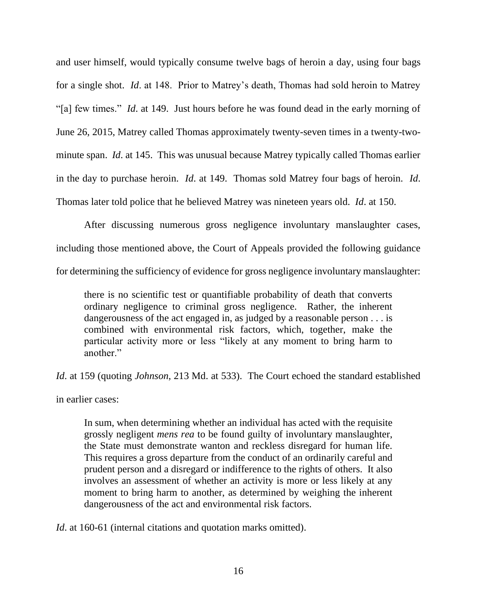and user himself, would typically consume twelve bags of heroin a day, using four bags for a single shot. *Id*. at 148. Prior to Matrey's death, Thomas had sold heroin to Matrey "[a] few times." *Id*. at 149. Just hours before he was found dead in the early morning of June 26, 2015, Matrey called Thomas approximately twenty-seven times in a twenty-twominute span. *Id*. at 145. This was unusual because Matrey typically called Thomas earlier in the day to purchase heroin. *Id*. at 149. Thomas sold Matrey four bags of heroin. *Id*. Thomas later told police that he believed Matrey was nineteen years old. *Id*. at 150.

After discussing numerous gross negligence involuntary manslaughter cases, including those mentioned above, the Court of Appeals provided the following guidance for determining the sufficiency of evidence for gross negligence involuntary manslaughter:

there is no scientific test or quantifiable probability of death that converts ordinary negligence to criminal gross negligence. Rather, the inherent dangerousness of the act engaged in, as judged by a reasonable person . . . is combined with environmental risk factors, which, together, make the particular activity more or less "likely at any moment to bring harm to another."

*Id*. at 159 (quoting *Johnson*, 213 Md. at 533). The Court echoed the standard established

in earlier cases:

In sum, when determining whether an individual has acted with the requisite grossly negligent *mens rea* to be found guilty of involuntary manslaughter, the State must demonstrate wanton and reckless disregard for human life. This requires a gross departure from the conduct of an ordinarily careful and prudent person and a disregard or indifference to the rights of others. It also involves an assessment of whether an activity is more or less likely at any moment to bring harm to another, as determined by weighing the inherent dangerousness of the act and environmental risk factors.

*Id.* at 160-61 (internal citations and quotation marks omitted).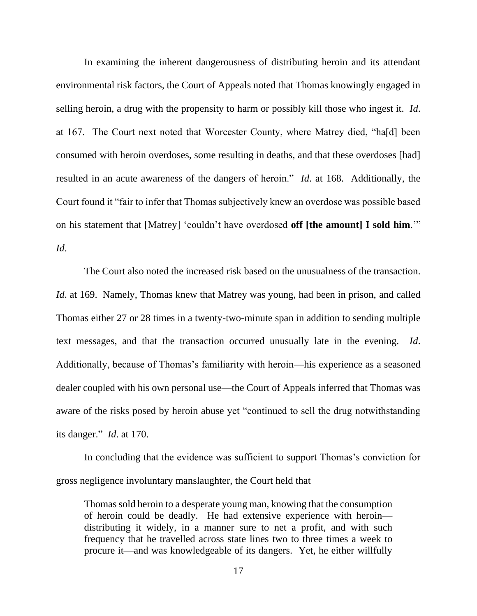In examining the inherent dangerousness of distributing heroin and its attendant environmental risk factors, the Court of Appeals noted that Thomas knowingly engaged in selling heroin, a drug with the propensity to harm or possibly kill those who ingest it. *Id*. at 167. The Court next noted that Worcester County, where Matrey died, "ha[d] been consumed with heroin overdoses, some resulting in deaths, and that these overdoses [had] resulted in an acute awareness of the dangers of heroin." *Id*. at 168. Additionally, the Court found it "fair to infer that Thomas subjectively knew an overdose was possible based on his statement that [Matrey] 'couldn't have overdosed **off [the amount] I sold him**.'" *Id*.

The Court also noted the increased risk based on the unusualness of the transaction. *Id.* at 169. Namely, Thomas knew that Matrey was young, had been in prison, and called Thomas either 27 or 28 times in a twenty-two-minute span in addition to sending multiple text messages, and that the transaction occurred unusually late in the evening. *Id*. Additionally, because of Thomas's familiarity with heroin—his experience as a seasoned dealer coupled with his own personal use—the Court of Appeals inferred that Thomas was aware of the risks posed by heroin abuse yet "continued to sell the drug notwithstanding its danger." *Id*. at 170.

In concluding that the evidence was sufficient to support Thomas's conviction for gross negligence involuntary manslaughter, the Court held that

Thomas sold heroin to a desperate young man, knowing that the consumption of heroin could be deadly. He had extensive experience with heroin distributing it widely, in a manner sure to net a profit, and with such frequency that he travelled across state lines two to three times a week to procure it—and was knowledgeable of its dangers. Yet, he either willfully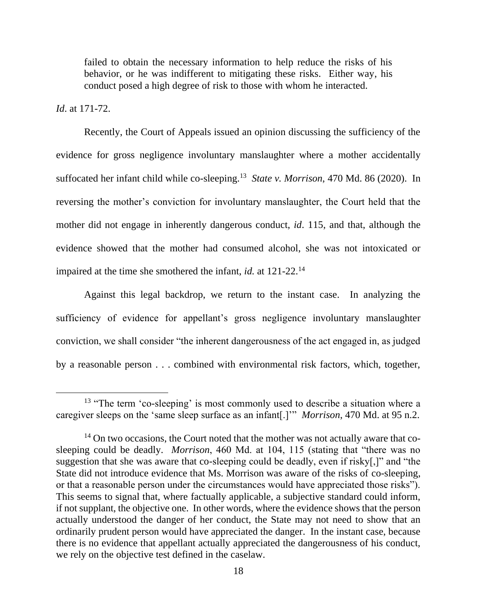failed to obtain the necessary information to help reduce the risks of his behavior, or he was indifferent to mitigating these risks. Either way, his conduct posed a high degree of risk to those with whom he interacted.

# *Id*. at 171-72.

Recently, the Court of Appeals issued an opinion discussing the sufficiency of the evidence for gross negligence involuntary manslaughter where a mother accidentally suffocated her infant child while co-sleeping.<sup>13</sup> State v. Morrison, 470 Md. 86 (2020). In reversing the mother's conviction for involuntary manslaughter, the Court held that the mother did not engage in inherently dangerous conduct, *id*. 115, and that, although the evidence showed that the mother had consumed alcohol, she was not intoxicated or impaired at the time she smothered the infant, *id.* at 121-22. 14

Against this legal backdrop, we return to the instant case. In analyzing the sufficiency of evidence for appellant's gross negligence involuntary manslaughter conviction, we shall consider "the inherent dangerousness of the act engaged in, as judged by a reasonable person . . . combined with environmental risk factors, which, together,

<sup>&</sup>lt;sup>13</sup> "The term 'co-sleeping' is most commonly used to describe a situation where a caregiver sleeps on the 'same sleep surface as an infant[.]'" *Morrison*, 470 Md. at 95 n.2.

<sup>&</sup>lt;sup>14</sup> On two occasions, the Court noted that the mother was not actually aware that cosleeping could be deadly. *Morrison*, 460 Md. at 104, 115 (stating that "there was no suggestion that she was aware that co-sleeping could be deadly, even if risky[,]" and "the State did not introduce evidence that Ms. Morrison was aware of the risks of co-sleeping, or that a reasonable person under the circumstances would have appreciated those risks"). This seems to signal that, where factually applicable, a subjective standard could inform, if not supplant, the objective one. In other words, where the evidence shows that the person actually understood the danger of her conduct, the State may not need to show that an ordinarily prudent person would have appreciated the danger. In the instant case, because there is no evidence that appellant actually appreciated the dangerousness of his conduct, we rely on the objective test defined in the caselaw.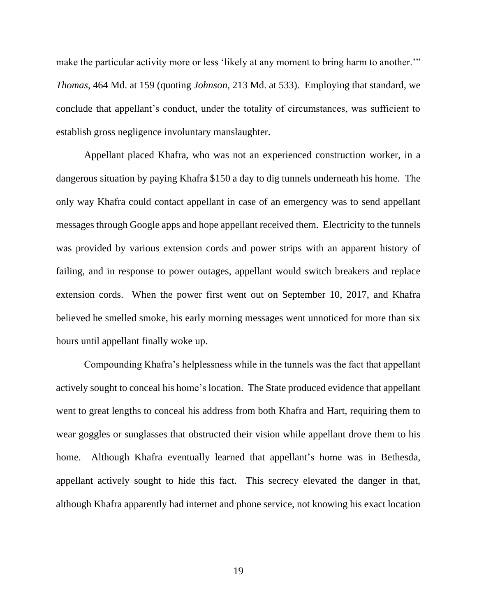make the particular activity more or less 'likely at any moment to bring harm to another." *Thomas*, 464 Md. at 159 (quoting *Johnson*, 213 Md. at 533). Employing that standard, we conclude that appellant's conduct, under the totality of circumstances, was sufficient to establish gross negligence involuntary manslaughter.

Appellant placed Khafra, who was not an experienced construction worker, in a dangerous situation by paying Khafra \$150 a day to dig tunnels underneath his home. The only way Khafra could contact appellant in case of an emergency was to send appellant messages through Google apps and hope appellant received them. Electricity to the tunnels was provided by various extension cords and power strips with an apparent history of failing, and in response to power outages, appellant would switch breakers and replace extension cords. When the power first went out on September 10, 2017, and Khafra believed he smelled smoke, his early morning messages went unnoticed for more than six hours until appellant finally woke up.

Compounding Khafra's helplessness while in the tunnels was the fact that appellant actively sought to conceal his home's location. The State produced evidence that appellant went to great lengths to conceal his address from both Khafra and Hart, requiring them to wear goggles or sunglasses that obstructed their vision while appellant drove them to his home. Although Khafra eventually learned that appellant's home was in Bethesda, appellant actively sought to hide this fact. This secrecy elevated the danger in that, although Khafra apparently had internet and phone service, not knowing his exact location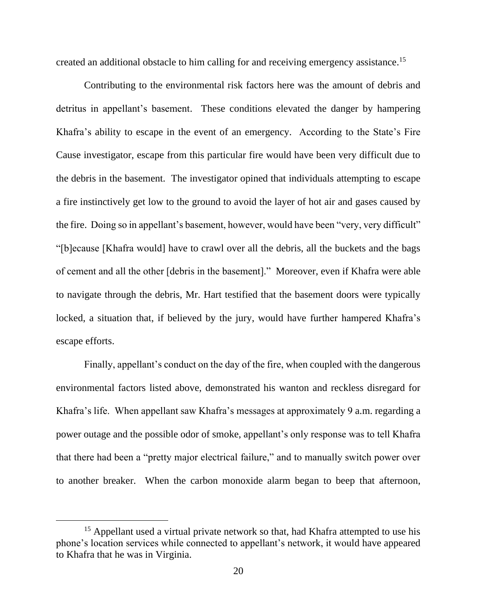created an additional obstacle to him calling for and receiving emergency assistance. 15

Contributing to the environmental risk factors here was the amount of debris and detritus in appellant's basement. These conditions elevated the danger by hampering Khafra's ability to escape in the event of an emergency. According to the State's Fire Cause investigator, escape from this particular fire would have been very difficult due to the debris in the basement. The investigator opined that individuals attempting to escape a fire instinctively get low to the ground to avoid the layer of hot air and gases caused by the fire. Doing so in appellant's basement, however, would have been "very, very difficult" "[b]ecause [Khafra would] have to crawl over all the debris, all the buckets and the bags of cement and all the other [debris in the basement]." Moreover, even if Khafra were able to navigate through the debris, Mr. Hart testified that the basement doors were typically locked, a situation that, if believed by the jury, would have further hampered Khafra's escape efforts.

Finally, appellant's conduct on the day of the fire, when coupled with the dangerous environmental factors listed above, demonstrated his wanton and reckless disregard for Khafra's life. When appellant saw Khafra's messages at approximately 9 a.m. regarding a power outage and the possible odor of smoke, appellant's only response was to tell Khafra that there had been a "pretty major electrical failure," and to manually switch power over to another breaker. When the carbon monoxide alarm began to beep that afternoon,

<sup>&</sup>lt;sup>15</sup> Appellant used a virtual private network so that, had Khafra attempted to use his phone's location services while connected to appellant's network, it would have appeared to Khafra that he was in Virginia.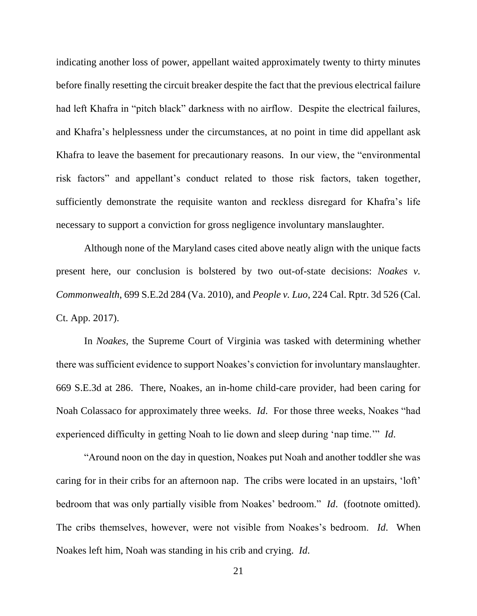indicating another loss of power, appellant waited approximately twenty to thirty minutes before finally resetting the circuit breaker despite the fact that the previous electrical failure had left Khafra in "pitch black" darkness with no airflow. Despite the electrical failures, and Khafra's helplessness under the circumstances, at no point in time did appellant ask Khafra to leave the basement for precautionary reasons. In our view, the "environmental risk factors" and appellant's conduct related to those risk factors, taken together, sufficiently demonstrate the requisite wanton and reckless disregard for Khafra's life necessary to support a conviction for gross negligence involuntary manslaughter.

Although none of the Maryland cases cited above neatly align with the unique facts present here, our conclusion is bolstered by two out-of-state decisions: *Noakes v. Commonwealth*, 699 S.E.2d 284 (Va. 2010), and *People v. Luo*, 224 Cal. Rptr. 3d 526 (Cal. Ct. App. 2017).

In *Noakes*, the Supreme Court of Virginia was tasked with determining whether there was sufficient evidence to support Noakes's conviction for involuntary manslaughter. 669 S.E.3d at 286. There, Noakes, an in-home child-care provider, had been caring for Noah Colassaco for approximately three weeks. *Id*. For those three weeks, Noakes "had experienced difficulty in getting Noah to lie down and sleep during 'nap time.'" *Id*.

"Around noon on the day in question, Noakes put Noah and another toddler she was caring for in their cribs for an afternoon nap. The cribs were located in an upstairs, 'loft' bedroom that was only partially visible from Noakes' bedroom." *Id*. (footnote omitted). The cribs themselves, however, were not visible from Noakes's bedroom. *Id*. When Noakes left him, Noah was standing in his crib and crying. *Id*.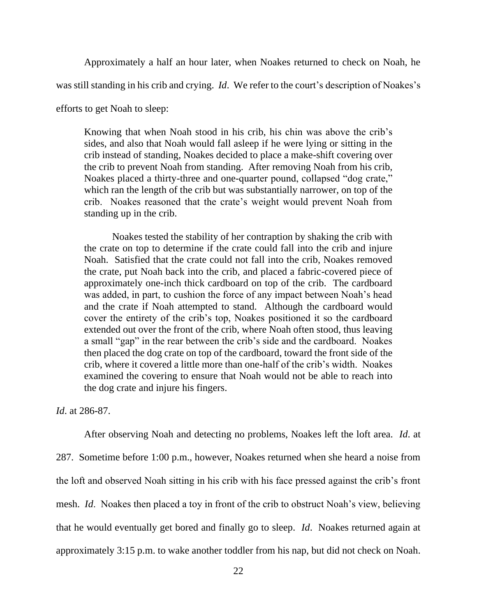Approximately a half an hour later, when Noakes returned to check on Noah, he

was still standing in his crib and crying. *Id*. We refer to the court's description of Noakes's

efforts to get Noah to sleep:

Knowing that when Noah stood in his crib, his chin was above the crib's sides, and also that Noah would fall asleep if he were lying or sitting in the crib instead of standing, Noakes decided to place a make-shift covering over the crib to prevent Noah from standing. After removing Noah from his crib, Noakes placed a thirty-three and one-quarter pound, collapsed "dog crate," which ran the length of the crib but was substantially narrower, on top of the crib. Noakes reasoned that the crate's weight would prevent Noah from standing up in the crib.

Noakes tested the stability of her contraption by shaking the crib with the crate on top to determine if the crate could fall into the crib and injure Noah. Satisfied that the crate could not fall into the crib, Noakes removed the crate, put Noah back into the crib, and placed a fabric-covered piece of approximately one-inch thick cardboard on top of the crib. The cardboard was added, in part, to cushion the force of any impact between Noah's head and the crate if Noah attempted to stand. Although the cardboard would cover the entirety of the crib's top, Noakes positioned it so the cardboard extended out over the front of the crib, where Noah often stood, thus leaving a small "gap" in the rear between the crib's side and the cardboard. Noakes then placed the dog crate on top of the cardboard, toward the front side of the crib, where it covered a little more than one-half of the crib's width. Noakes examined the covering to ensure that Noah would not be able to reach into the dog crate and injure his fingers.

*Id*. at 286-87.

After observing Noah and detecting no problems, Noakes left the loft area. *Id*. at 287. Sometime before 1:00 p.m., however, Noakes returned when she heard a noise from the loft and observed Noah sitting in his crib with his face pressed against the crib's front mesh. *Id*. Noakes then placed a toy in front of the crib to obstruct Noah's view, believing that he would eventually get bored and finally go to sleep. *Id*. Noakes returned again at approximately 3:15 p.m. to wake another toddler from his nap, but did not check on Noah.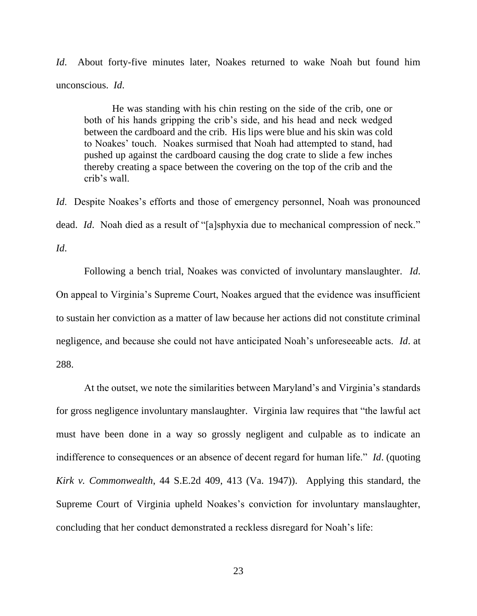*Id.* About forty-five minutes later, Noakes returned to wake Noah but found him unconscious. *Id*.

He was standing with his chin resting on the side of the crib, one or both of his hands gripping the crib's side, and his head and neck wedged between the cardboard and the crib. His lips were blue and his skin was cold to Noakes' touch. Noakes surmised that Noah had attempted to stand, had pushed up against the cardboard causing the dog crate to slide a few inches thereby creating a space between the covering on the top of the crib and the crib's wall.

*Id*. Despite Noakes's efforts and those of emergency personnel, Noah was pronounced dead. *Id*. Noah died as a result of "[a]sphyxia due to mechanical compression of neck." *Id*.

Following a bench trial, Noakes was convicted of involuntary manslaughter. *Id*. On appeal to Virginia's Supreme Court, Noakes argued that the evidence was insufficient to sustain her conviction as a matter of law because her actions did not constitute criminal negligence, and because she could not have anticipated Noah's unforeseeable acts. *Id*. at 288.

At the outset, we note the similarities between Maryland's and Virginia's standards for gross negligence involuntary manslaughter. Virginia law requires that "the lawful act must have been done in a way so grossly negligent and culpable as to indicate an indifference to consequences or an absence of decent regard for human life." *Id*. (quoting *Kirk v. Commonwealth*, 44 S.E.2d 409, 413 (Va. 1947)). Applying this standard, the Supreme Court of Virginia upheld Noakes's conviction for involuntary manslaughter, concluding that her conduct demonstrated a reckless disregard for Noah's life: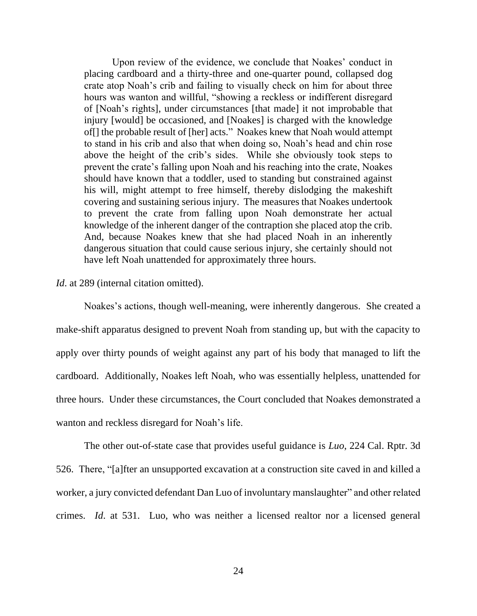Upon review of the evidence, we conclude that Noakes' conduct in placing cardboard and a thirty-three and one-quarter pound, collapsed dog crate atop Noah's crib and failing to visually check on him for about three hours was wanton and willful, "showing a reckless or indifferent disregard of [Noah's rights], under circumstances [that made] it not improbable that injury [would] be occasioned, and [Noakes] is charged with the knowledge of[] the probable result of [her] acts." Noakes knew that Noah would attempt to stand in his crib and also that when doing so, Noah's head and chin rose above the height of the crib's sides. While she obviously took steps to prevent the crate's falling upon Noah and his reaching into the crate, Noakes should have known that a toddler, used to standing but constrained against his will, might attempt to free himself, thereby dislodging the makeshift covering and sustaining serious injury. The measures that Noakes undertook to prevent the crate from falling upon Noah demonstrate her actual knowledge of the inherent danger of the contraption she placed atop the crib. And, because Noakes knew that she had placed Noah in an inherently dangerous situation that could cause serious injury, she certainly should not have left Noah unattended for approximately three hours.

## *Id.* at 289 (internal citation omitted).

Noakes's actions, though well-meaning, were inherently dangerous. She created a make-shift apparatus designed to prevent Noah from standing up, but with the capacity to apply over thirty pounds of weight against any part of his body that managed to lift the cardboard. Additionally, Noakes left Noah, who was essentially helpless, unattended for three hours. Under these circumstances, the Court concluded that Noakes demonstrated a wanton and reckless disregard for Noah's life.

The other out-of-state case that provides useful guidance is *Luo*, 224 Cal. Rptr. 3d 526. There, "[a]fter an unsupported excavation at a construction site caved in and killed a worker, a jury convicted defendant Dan Luo of involuntary manslaughter" and other related crimes. *Id*. at 531. Luo, who was neither a licensed realtor nor a licensed general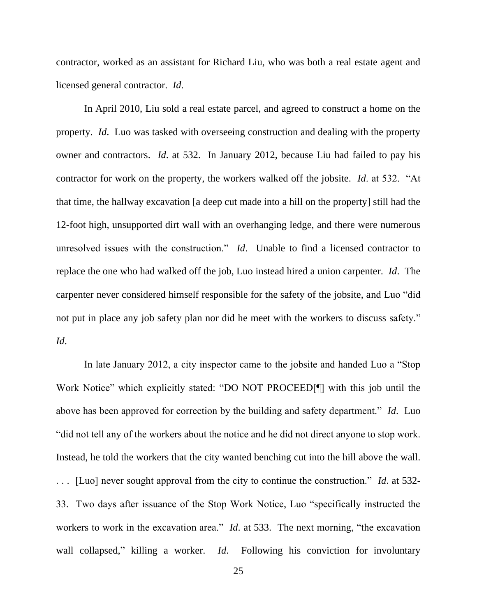contractor, worked as an assistant for Richard Liu, who was both a real estate agent and licensed general contractor. *Id*.

In April 2010, Liu sold a real estate parcel, and agreed to construct a home on the property. *Id*. Luo was tasked with overseeing construction and dealing with the property owner and contractors. *Id*. at 532. In January 2012, because Liu had failed to pay his contractor for work on the property, the workers walked off the jobsite. *Id*. at 532. "At that time, the hallway excavation [a deep cut made into a hill on the property] still had the 12-foot high, unsupported dirt wall with an overhanging ledge, and there were numerous unresolved issues with the construction." *Id*. Unable to find a licensed contractor to replace the one who had walked off the job, Luo instead hired a union carpenter. *Id*. The carpenter never considered himself responsible for the safety of the jobsite, and Luo "did not put in place any job safety plan nor did he meet with the workers to discuss safety." *Id*.

In late January 2012, a city inspector came to the jobsite and handed Luo a "Stop Work Notice" which explicitly stated: "DO NOT PROCEED[¶] with this job until the above has been approved for correction by the building and safety department." *Id*. Luo "did not tell any of the workers about the notice and he did not direct anyone to stop work. Instead, he told the workers that the city wanted benching cut into the hill above the wall. . . . [Luo] never sought approval from the city to continue the construction." *Id*. at 532- 33. Two days after issuance of the Stop Work Notice, Luo "specifically instructed the workers to work in the excavation area." *Id*. at 533. The next morning, "the excavation wall collapsed," killing a worker. *Id*. Following his conviction for involuntary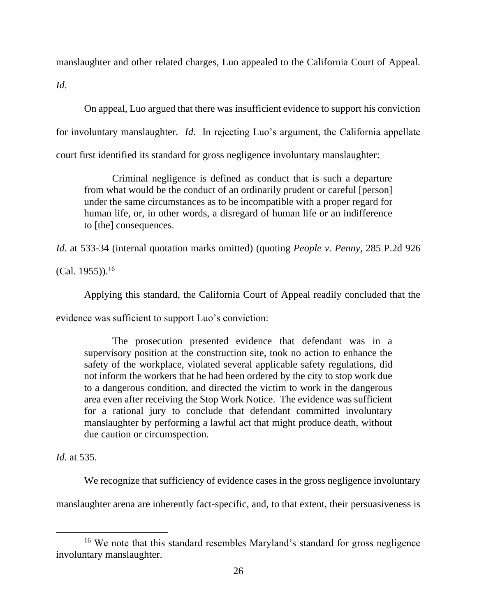manslaughter and other related charges, Luo appealed to the California Court of Appeal.

*Id*.

On appeal, Luo argued that there was insufficient evidence to support his conviction for involuntary manslaughter. *Id*. In rejecting Luo's argument, the California appellate court first identified its standard for gross negligence involuntary manslaughter:

Criminal negligence is defined as conduct that is such a departure from what would be the conduct of an ordinarily prudent or careful [person] under the same circumstances as to be incompatible with a proper regard for human life, or, in other words, a disregard of human life or an indifference to [the] consequences.

*Id*. at 533-34 (internal quotation marks omitted) (quoting *People v. Penny*, 285 P.2d 926

(Cal. 1955)). 16

Applying this standard, the California Court of Appeal readily concluded that the

evidence was sufficient to support Luo's conviction:

The prosecution presented evidence that defendant was in a supervisory position at the construction site, took no action to enhance the safety of the workplace, violated several applicable safety regulations, did not inform the workers that he had been ordered by the city to stop work due to a dangerous condition, and directed the victim to work in the dangerous area even after receiving the Stop Work Notice. The evidence was sufficient for a rational jury to conclude that defendant committed involuntary manslaughter by performing a lawful act that might produce death, without due caution or circumspection.

*Id*. at 535.

We recognize that sufficiency of evidence cases in the gross negligence involuntary

manslaughter arena are inherently fact-specific, and, to that extent, their persuasiveness is

<sup>&</sup>lt;sup>16</sup> We note that this standard resembles Maryland's standard for gross negligence involuntary manslaughter.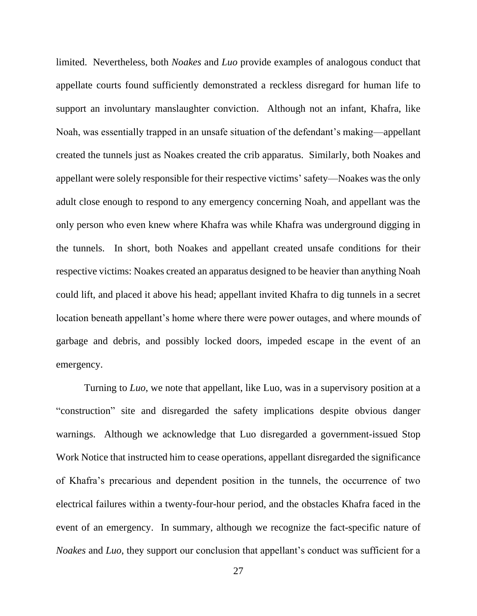limited. Nevertheless, both *Noakes* and *Luo* provide examples of analogous conduct that appellate courts found sufficiently demonstrated a reckless disregard for human life to support an involuntary manslaughter conviction. Although not an infant, Khafra, like Noah, was essentially trapped in an unsafe situation of the defendant's making—appellant created the tunnels just as Noakes created the crib apparatus. Similarly, both Noakes and appellant were solely responsible for their respective victims' safety—Noakes was the only adult close enough to respond to any emergency concerning Noah, and appellant was the only person who even knew where Khafra was while Khafra was underground digging in the tunnels. In short, both Noakes and appellant created unsafe conditions for their respective victims: Noakes created an apparatus designed to be heavier than anything Noah could lift, and placed it above his head; appellant invited Khafra to dig tunnels in a secret location beneath appellant's home where there were power outages, and where mounds of garbage and debris, and possibly locked doors, impeded escape in the event of an emergency.

Turning to *Luo*, we note that appellant, like Luo, was in a supervisory position at a "construction" site and disregarded the safety implications despite obvious danger warnings. Although we acknowledge that Luo disregarded a government-issued Stop Work Notice that instructed him to cease operations, appellant disregarded the significance of Khafra's precarious and dependent position in the tunnels, the occurrence of two electrical failures within a twenty-four-hour period, and the obstacles Khafra faced in the event of an emergency. In summary, although we recognize the fact-specific nature of *Noakes* and *Luo*, they support our conclusion that appellant's conduct was sufficient for a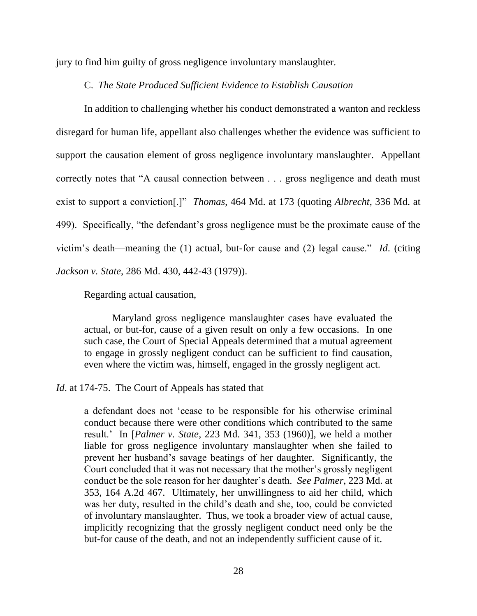jury to find him guilty of gross negligence involuntary manslaughter.

## C. *The State Produced Sufficient Evidence to Establish Causation*

In addition to challenging whether his conduct demonstrated a wanton and reckless disregard for human life, appellant also challenges whether the evidence was sufficient to support the causation element of gross negligence involuntary manslaughter. Appellant correctly notes that "A causal connection between . . . gross negligence and death must exist to support a conviction[.]" *Thomas*, 464 Md. at 173 (quoting *Albrecht*, 336 Md. at 499). Specifically, "the defendant's gross negligence must be the proximate cause of the victim's death—meaning the (1) actual, but-for cause and (2) legal cause." *Id*. (citing *Jackson v. State*, 286 Md. 430, 442-43 (1979)).

Regarding actual causation,

Maryland gross negligence manslaughter cases have evaluated the actual, or but-for, cause of a given result on only a few occasions. In one such case, the Court of Special Appeals determined that a mutual agreement to engage in grossly negligent conduct can be sufficient to find causation, even where the victim was, himself, engaged in the grossly negligent act.

*Id.* at 174-75. The Court of Appeals has stated that

a defendant does not 'cease to be responsible for his otherwise criminal conduct because there were other conditions which contributed to the same result.' In [*Palmer v. State*, 223 Md. 341, 353 (1960)], we held a mother liable for gross negligence involuntary manslaughter when she failed to prevent her husband's savage beatings of her daughter. Significantly, the Court concluded that it was not necessary that the mother's grossly negligent conduct be the sole reason for her daughter's death. *See Palmer*, 223 Md. at 353, 164 A.2d 467. Ultimately, her unwillingness to aid her child, which was her duty, resulted in the child's death and she, too, could be convicted of involuntary manslaughter. Thus, we took a broader view of actual cause, implicitly recognizing that the grossly negligent conduct need only be the but-for cause of the death, and not an independently sufficient cause of it.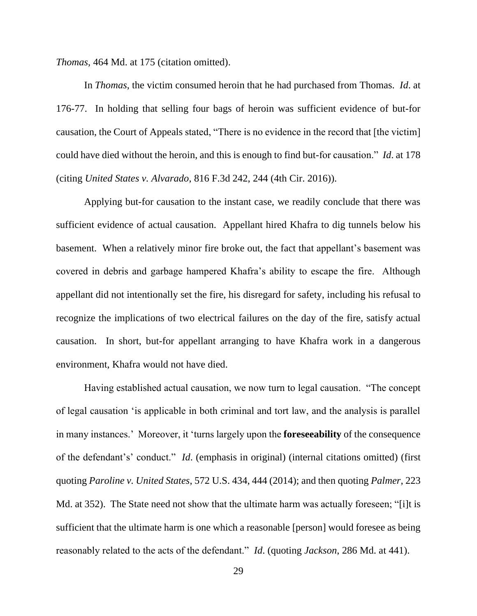*Thomas*, 464 Md. at 175 (citation omitted).

In *Thomas*, the victim consumed heroin that he had purchased from Thomas. *Id*. at 176-77. In holding that selling four bags of heroin was sufficient evidence of but-for causation, the Court of Appeals stated, "There is no evidence in the record that [the victim] could have died without the heroin, and this is enough to find but-for causation." *Id*. at 178 (citing *United States v. Alvarado*, 816 F.3d 242, 244 (4th Cir. 2016)).

Applying but-for causation to the instant case, we readily conclude that there was sufficient evidence of actual causation. Appellant hired Khafra to dig tunnels below his basement. When a relatively minor fire broke out, the fact that appellant's basement was covered in debris and garbage hampered Khafra's ability to escape the fire. Although appellant did not intentionally set the fire, his disregard for safety, including his refusal to recognize the implications of two electrical failures on the day of the fire, satisfy actual causation. In short, but-for appellant arranging to have Khafra work in a dangerous environment, Khafra would not have died.

Having established actual causation, we now turn to legal causation. "The concept of legal causation 'is applicable in both criminal and tort law, and the analysis is parallel in many instances.' Moreover, it 'turns largely upon the **foreseeability** of the consequence of the defendant's' conduct." *Id*. (emphasis in original) (internal citations omitted) (first quoting *Paroline v. United States*, 572 U.S. 434, 444 (2014); and then quoting *Palmer*, 223 Md. at 352). The State need not show that the ultimate harm was actually foreseen; "[i]t is sufficient that the ultimate harm is one which a reasonable [person] would foresee as being reasonably related to the acts of the defendant." *Id*. (quoting *Jackson*, 286 Md. at 441).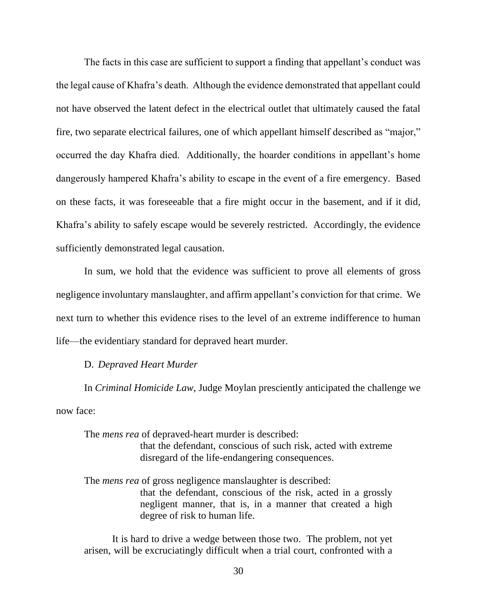The facts in this case are sufficient to support a finding that appellant's conduct was the legal cause of Khafra's death. Although the evidence demonstrated that appellant could not have observed the latent defect in the electrical outlet that ultimately caused the fatal fire, two separate electrical failures, one of which appellant himself described as "major," occurred the day Khafra died. Additionally, the hoarder conditions in appellant's home dangerously hampered Khafra's ability to escape in the event of a fire emergency. Based on these facts, it was foreseeable that a fire might occur in the basement, and if it did, Khafra's ability to safely escape would be severely restricted. Accordingly, the evidence sufficiently demonstrated legal causation.

In sum, we hold that the evidence was sufficient to prove all elements of gross negligence involuntary manslaughter, and affirm appellant's conviction for that crime. We next turn to whether this evidence rises to the level of an extreme indifference to human life—the evidentiary standard for depraved heart murder.

## D. *Depraved Heart Murder*

In *Criminal Homicide Law*, Judge Moylan presciently anticipated the challenge we now face:

The *mens rea* of depraved-heart murder is described: that the defendant, conscious of such risk, acted with extreme disregard of the life-endangering consequences.

The *mens rea* of gross negligence manslaughter is described: that the defendant, conscious of the risk, acted in a grossly negligent manner, that is, in a manner that created a high degree of risk to human life.

It is hard to drive a wedge between those two. The problem, not yet arisen, will be excruciatingly difficult when a trial court, confronted with a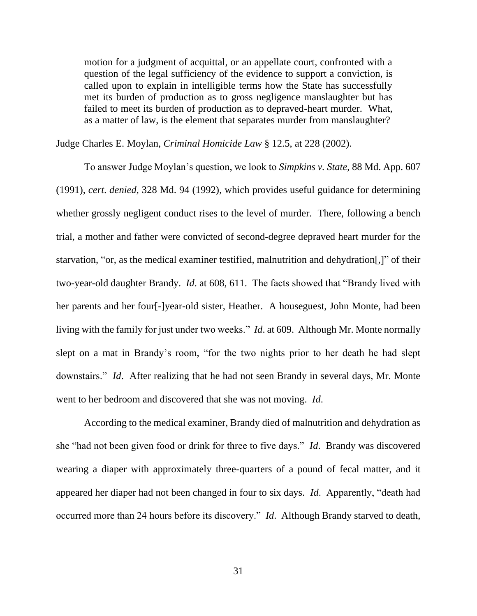motion for a judgment of acquittal, or an appellate court, confronted with a question of the legal sufficiency of the evidence to support a conviction, is called upon to explain in intelligible terms how the State has successfully met its burden of production as to gross negligence manslaughter but has failed to meet its burden of production as to depraved-heart murder. What, as a matter of law, is the element that separates murder from manslaughter?

Judge Charles E. Moylan, *Criminal Homicide Law* § 12.5, at 228 (2002).

To answer Judge Moylan's question, we look to *Simpkins v. State*, 88 Md. App. 607 (1991), *cert*. *denied*, 328 Md. 94 (1992), which provides useful guidance for determining whether grossly negligent conduct rises to the level of murder. There, following a bench trial, a mother and father were convicted of second-degree depraved heart murder for the starvation, "or, as the medical examiner testified, malnutrition and dehydration[,]" of their two-year-old daughter Brandy. *Id*. at 608, 611. The facts showed that "Brandy lived with her parents and her four[-]year-old sister, Heather. A houseguest, John Monte, had been living with the family for just under two weeks." *Id*. at 609. Although Mr. Monte normally slept on a mat in Brandy's room, "for the two nights prior to her death he had slept downstairs." *Id*. After realizing that he had not seen Brandy in several days, Mr. Monte went to her bedroom and discovered that she was not moving. *Id*.

According to the medical examiner, Brandy died of malnutrition and dehydration as she "had not been given food or drink for three to five days." *Id*. Brandy was discovered wearing a diaper with approximately three-quarters of a pound of fecal matter, and it appeared her diaper had not been changed in four to six days. *Id*. Apparently, "death had occurred more than 24 hours before its discovery." *Id*. Although Brandy starved to death,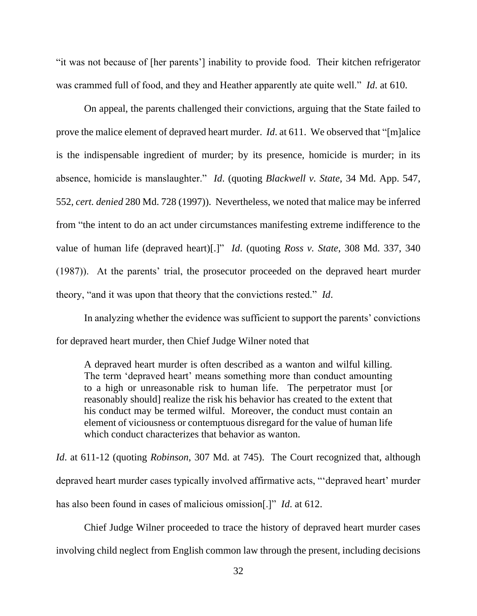"it was not because of [her parents'] inability to provide food. Their kitchen refrigerator was crammed full of food, and they and Heather apparently ate quite well." *Id*. at 610.

On appeal, the parents challenged their convictions, arguing that the State failed to prove the malice element of depraved heart murder. *Id*. at 611. We observed that "[m]alice is the indispensable ingredient of murder; by its presence, homicide is murder; in its absence, homicide is manslaughter." *Id*. (quoting *Blackwell v. State*, 34 Md. App. 547, 552, *cert. denied* 280 Md. 728 (1997)). Nevertheless, we noted that malice may be inferred from "the intent to do an act under circumstances manifesting extreme indifference to the value of human life (depraved heart)[.]" *Id*. (quoting *Ross v. State*, 308 Md. 337, 340 (1987)). At the parents' trial, the prosecutor proceeded on the depraved heart murder theory, "and it was upon that theory that the convictions rested." *Id*.

In analyzing whether the evidence was sufficient to support the parents' convictions for depraved heart murder, then Chief Judge Wilner noted that

A depraved heart murder is often described as a wanton and wilful killing. The term 'depraved heart' means something more than conduct amounting to a high or unreasonable risk to human life. The perpetrator must [or reasonably should] realize the risk his behavior has created to the extent that his conduct may be termed wilful. Moreover, the conduct must contain an element of viciousness or contemptuous disregard for the value of human life which conduct characterizes that behavior as wanton.

*Id*. at 611-12 (quoting *Robinson*, 307 Md. at 745). The Court recognized that, although depraved heart murder cases typically involved affirmative acts, "'depraved heart' murder has also been found in cases of malicious omission[.]" *Id*. at 612.

Chief Judge Wilner proceeded to trace the history of depraved heart murder cases involving child neglect from English common law through the present, including decisions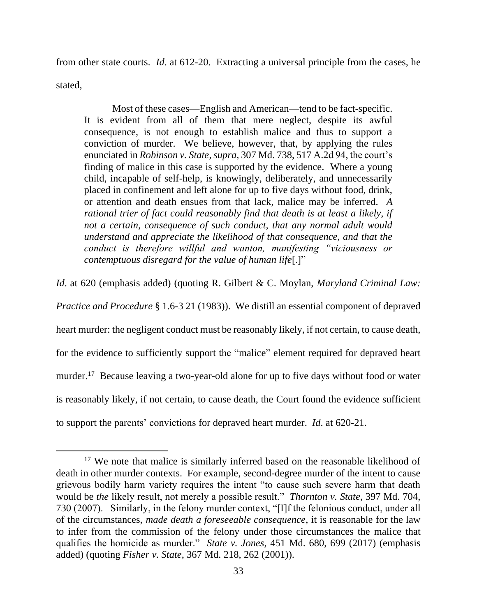from other state courts. *Id*. at 612-20. Extracting a universal principle from the cases, he stated,

Most of these cases—English and American—tend to be fact-specific. It is evident from all of them that mere neglect, despite its awful consequence, is not enough to establish malice and thus to support a conviction of murder. We believe, however, that, by applying the rules enunciated in *Robinson v. State*, *supra*, 307 Md. 738, 517 A.2d 94, the court's finding of malice in this case is supported by the evidence. Where a young child, incapable of self-help, is knowingly, deliberately, and unnecessarily placed in confinement and left alone for up to five days without food, drink, or attention and death ensues from that lack, malice may be inferred. *A rational trier of fact could reasonably find that death is at least a likely, if not a certain, consequence of such conduct, that any normal adult would understand and appreciate the likelihood of that consequence, and that the conduct is therefore willful and wanton, manifesting "viciousness or contemptuous disregard for the value of human life*[.]"

*Id*. at 620 (emphasis added) (quoting R. Gilbert & C. Moylan, *Maryland Criminal Law:* 

*Practice and Procedure* § 1.6-3 21 (1983)). We distill an essential component of depraved heart murder: the negligent conduct must be reasonably likely, if not certain, to cause death, for the evidence to sufficiently support the "malice" element required for depraved heart murder.<sup>17</sup> Because leaving a two-year-old alone for up to five days without food or water is reasonably likely, if not certain, to cause death, the Court found the evidence sufficient to support the parents' convictions for depraved heart murder. *Id*. at 620-21.

<sup>&</sup>lt;sup>17</sup> We note that malice is similarly inferred based on the reasonable likelihood of death in other murder contexts. For example, second-degree murder of the intent to cause grievous bodily harm variety requires the intent "to cause such severe harm that death would be *the* likely result, not merely a possible result." *Thornton v. State*, 397 Md. 704, 730 (2007). Similarly, in the felony murder context, "[I]f the felonious conduct, under all of the circumstances, *made death a foreseeable consequence*, it is reasonable for the law to infer from the commission of the felony under those circumstances the malice that qualifies the homicide as murder." *State v. Jones*, 451 Md. 680, 699 (2017) (emphasis added) (quoting *Fisher v. State*, 367 Md. 218, 262 (2001)).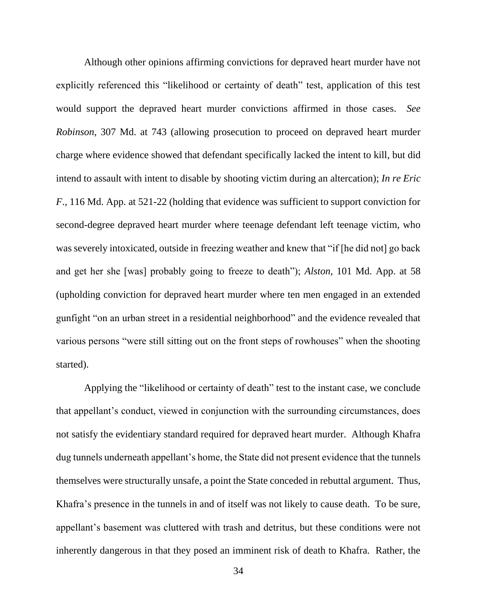Although other opinions affirming convictions for depraved heart murder have not explicitly referenced this "likelihood or certainty of death" test, application of this test would support the depraved heart murder convictions affirmed in those cases. *See Robinson*, 307 Md. at 743 (allowing prosecution to proceed on depraved heart murder charge where evidence showed that defendant specifically lacked the intent to kill, but did intend to assault with intent to disable by shooting victim during an altercation); *In re Eric F*., 116 Md. App. at 521-22 (holding that evidence was sufficient to support conviction for second-degree depraved heart murder where teenage defendant left teenage victim, who was severely intoxicated, outside in freezing weather and knew that "if [he did not] go back and get her she [was] probably going to freeze to death"); *Alston*, 101 Md. App. at 58 (upholding conviction for depraved heart murder where ten men engaged in an extended gunfight "on an urban street in a residential neighborhood" and the evidence revealed that various persons "were still sitting out on the front steps of rowhouses" when the shooting started).

Applying the "likelihood or certainty of death" test to the instant case, we conclude that appellant's conduct, viewed in conjunction with the surrounding circumstances, does not satisfy the evidentiary standard required for depraved heart murder. Although Khafra dug tunnels underneath appellant's home, the State did not present evidence that the tunnels themselves were structurally unsafe, a point the State conceded in rebuttal argument. Thus, Khafra's presence in the tunnels in and of itself was not likely to cause death. To be sure, appellant's basement was cluttered with trash and detritus, but these conditions were not inherently dangerous in that they posed an imminent risk of death to Khafra. Rather, the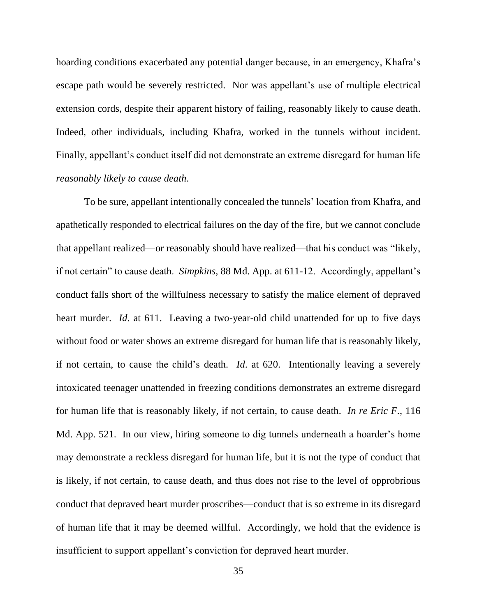hoarding conditions exacerbated any potential danger because, in an emergency, Khafra's escape path would be severely restricted. Nor was appellant's use of multiple electrical extension cords, despite their apparent history of failing, reasonably likely to cause death. Indeed, other individuals, including Khafra, worked in the tunnels without incident. Finally, appellant's conduct itself did not demonstrate an extreme disregard for human life *reasonably likely to cause death*.

To be sure, appellant intentionally concealed the tunnels' location from Khafra, and apathetically responded to electrical failures on the day of the fire, but we cannot conclude that appellant realized—or reasonably should have realized—that his conduct was "likely, if not certain" to cause death. *Simpkins*, 88 Md. App. at 611-12. Accordingly, appellant's conduct falls short of the willfulness necessary to satisfy the malice element of depraved heart murder. *Id*. at 611. Leaving a two-year-old child unattended for up to five days without food or water shows an extreme disregard for human life that is reasonably likely, if not certain, to cause the child's death. *Id*. at 620. Intentionally leaving a severely intoxicated teenager unattended in freezing conditions demonstrates an extreme disregard for human life that is reasonably likely, if not certain, to cause death. *In re Eric F*., 116 Md. App. 521. In our view, hiring someone to dig tunnels underneath a hoarder's home may demonstrate a reckless disregard for human life, but it is not the type of conduct that is likely, if not certain, to cause death, and thus does not rise to the level of opprobrious conduct that depraved heart murder proscribes—conduct that is so extreme in its disregard of human life that it may be deemed willful. Accordingly, we hold that the evidence is insufficient to support appellant's conviction for depraved heart murder.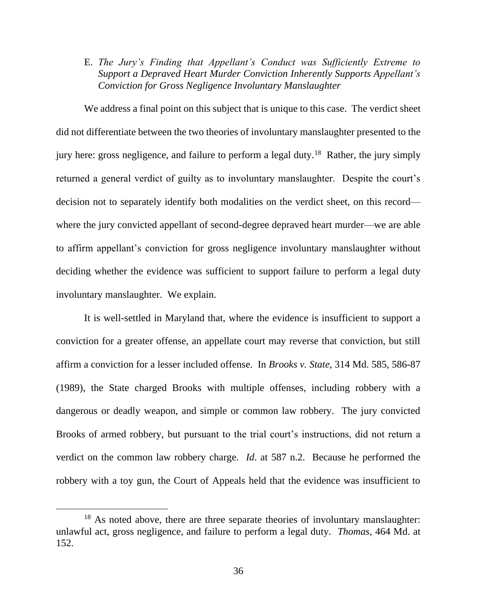E. *The Jury's Finding that Appellant's Conduct was Sufficiently Extreme to Support a Depraved Heart Murder Conviction Inherently Supports Appellant's Conviction for Gross Negligence Involuntary Manslaughter*

We address a final point on this subject that is unique to this case. The verdict sheet did not differentiate between the two theories of involuntary manslaughter presented to the jury here: gross negligence, and failure to perform a legal duty.<sup>18</sup> Rather, the jury simply returned a general verdict of guilty as to involuntary manslaughter. Despite the court's decision not to separately identify both modalities on the verdict sheet, on this record where the jury convicted appellant of second-degree depraved heart murder—we are able to affirm appellant's conviction for gross negligence involuntary manslaughter without deciding whether the evidence was sufficient to support failure to perform a legal duty involuntary manslaughter. We explain.

It is well-settled in Maryland that, where the evidence is insufficient to support a conviction for a greater offense, an appellate court may reverse that conviction, but still affirm a conviction for a lesser included offense. In *Brooks v. State*, 314 Md. 585, 586-87 (1989), the State charged Brooks with multiple offenses, including robbery with a dangerous or deadly weapon, and simple or common law robbery. The jury convicted Brooks of armed robbery, but pursuant to the trial court's instructions, did not return a verdict on the common law robbery charge. *Id*. at 587 n.2. Because he performed the robbery with a toy gun, the Court of Appeals held that the evidence was insufficient to

<sup>&</sup>lt;sup>18</sup> As noted above, there are three separate theories of involuntary manslaughter: unlawful act, gross negligence, and failure to perform a legal duty. *Thomas*, 464 Md. at 152.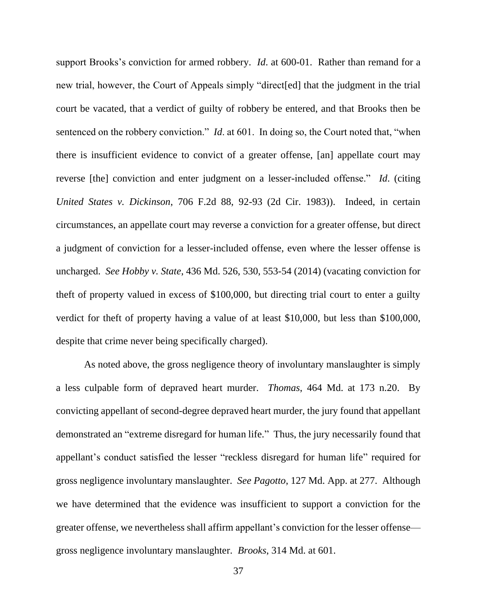support Brooks's conviction for armed robbery. *Id*. at 600-01. Rather than remand for a new trial, however, the Court of Appeals simply "direct[ed] that the judgment in the trial court be vacated, that a verdict of guilty of robbery be entered, and that Brooks then be sentenced on the robbery conviction." *Id*. at 601. In doing so, the Court noted that, "when there is insufficient evidence to convict of a greater offense, [an] appellate court may reverse [the] conviction and enter judgment on a lesser-included offense." *Id*. (citing *United States v. Dickinson*, 706 F.2d 88, 92-93 (2d Cir. 1983)). Indeed, in certain circumstances, an appellate court may reverse a conviction for a greater offense, but direct a judgment of conviction for a lesser-included offense, even where the lesser offense is uncharged. *See Hobby v. State*, 436 Md. 526, 530, 553-54 (2014) (vacating conviction for theft of property valued in excess of \$100,000, but directing trial court to enter a guilty verdict for theft of property having a value of at least \$10,000, but less than \$100,000, despite that crime never being specifically charged).

As noted above, the gross negligence theory of involuntary manslaughter is simply a less culpable form of depraved heart murder. *Thomas*, 464 Md. at 173 n.20. By convicting appellant of second-degree depraved heart murder, the jury found that appellant demonstrated an "extreme disregard for human life." Thus, the jury necessarily found that appellant's conduct satisfied the lesser "reckless disregard for human life" required for gross negligence involuntary manslaughter. *See Pagotto*, 127 Md. App. at 277. Although we have determined that the evidence was insufficient to support a conviction for the greater offense, we nevertheless shall affirm appellant's conviction for the lesser offense gross negligence involuntary manslaughter. *Brooks*, 314 Md. at 601.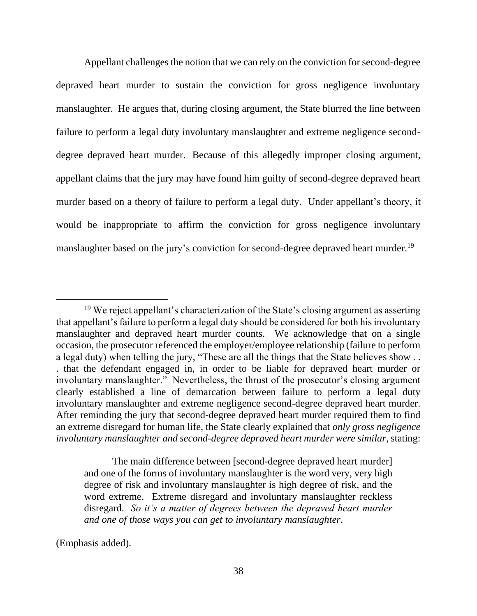Appellant challenges the notion that we can rely on the conviction for second-degree depraved heart murder to sustain the conviction for gross negligence involuntary manslaughter. He argues that, during closing argument, the State blurred the line between failure to perform a legal duty involuntary manslaughter and extreme negligence seconddegree depraved heart murder. Because of this allegedly improper closing argument, appellant claims that the jury may have found him guilty of second-degree depraved heart murder based on a theory of failure to perform a legal duty. Under appellant's theory, it would be inappropriate to affirm the conviction for gross negligence involuntary manslaughter based on the jury's conviction for second-degree depraved heart murder.<sup>19</sup>

The main difference between [second-degree depraved heart murder] and one of the forms of involuntary manslaughter is the word very, very high degree of risk and involuntary manslaughter is high degree of risk, and the word extreme. Extreme disregard and involuntary manslaughter reckless disregard. *So it's a matter of degrees between the depraved heart murder and one of those ways you can get to involuntary manslaughter*.

(Emphasis added).

<sup>&</sup>lt;sup>19</sup> We reject appellant's characterization of the State's closing argument as asserting that appellant's failure to perform a legal duty should be considered for both his involuntary manslaughter and depraved heart murder counts. We acknowledge that on a single occasion, the prosecutor referenced the employer/employee relationship (failure to perform a legal duty) when telling the jury, "These are all the things that the State believes show . . . that the defendant engaged in, in order to be liable for depraved heart murder or involuntary manslaughter." Nevertheless, the thrust of the prosecutor's closing argument clearly established a line of demarcation between failure to perform a legal duty involuntary manslaughter and extreme negligence second-degree depraved heart murder. After reminding the jury that second-degree depraved heart murder required them to find an extreme disregard for human life, the State clearly explained that *only gross negligence involuntary manslaughter and second-degree depraved heart murder were similar*, stating: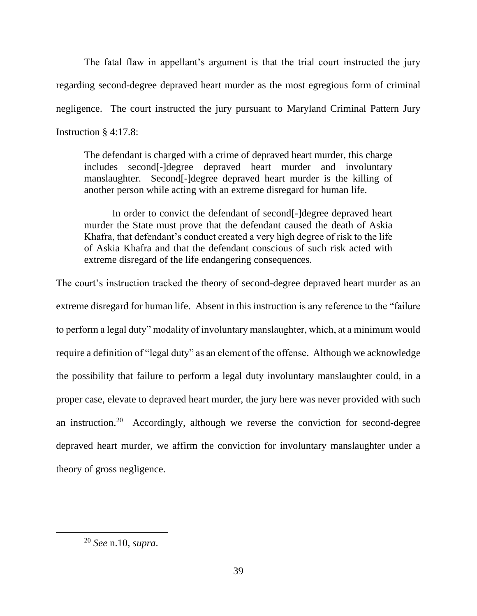The fatal flaw in appellant's argument is that the trial court instructed the jury regarding second-degree depraved heart murder as the most egregious form of criminal negligence. The court instructed the jury pursuant to Maryland Criminal Pattern Jury Instruction § 4:17.8:

The defendant is charged with a crime of depraved heart murder, this charge includes second[-]degree depraved heart murder and involuntary manslaughter. Second[-]degree depraved heart murder is the killing of another person while acting with an extreme disregard for human life.

In order to convict the defendant of second[-]degree depraved heart murder the State must prove that the defendant caused the death of Askia Khafra, that defendant's conduct created a very high degree of risk to the life of Askia Khafra and that the defendant conscious of such risk acted with extreme disregard of the life endangering consequences.

The court's instruction tracked the theory of second-degree depraved heart murder as an extreme disregard for human life. Absent in this instruction is any reference to the "failure to perform a legal duty" modality of involuntary manslaughter, which, at a minimum would require a definition of "legal duty" as an element of the offense. Although we acknowledge the possibility that failure to perform a legal duty involuntary manslaughter could, in a proper case, elevate to depraved heart murder, the jury here was never provided with such an instruction.<sup>20</sup> Accordingly, although we reverse the conviction for second-degree depraved heart murder, we affirm the conviction for involuntary manslaughter under a theory of gross negligence.

<sup>20</sup> *See* n.10, *supra*.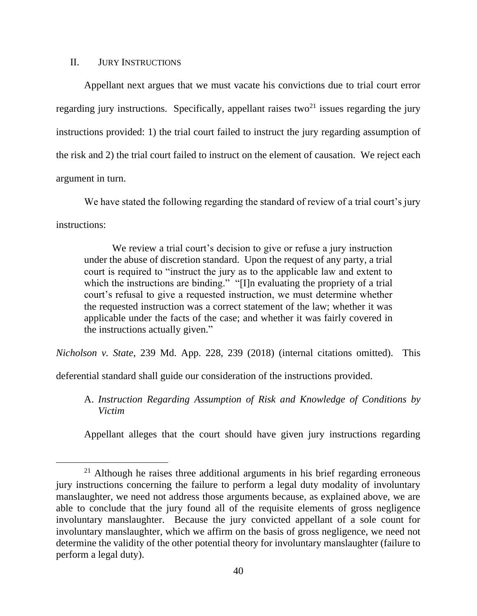#### II. JURY INSTRUCTIONS

Appellant next argues that we must vacate his convictions due to trial court error regarding jury instructions. Specifically, appellant raises two<sup>21</sup> issues regarding the jury instructions provided: 1) the trial court failed to instruct the jury regarding assumption of the risk and 2) the trial court failed to instruct on the element of causation. We reject each argument in turn.

We have stated the following regarding the standard of review of a trial court's jury instructions:

We review a trial court's decision to give or refuse a jury instruction under the abuse of discretion standard. Upon the request of any party, a trial court is required to "instruct the jury as to the applicable law and extent to which the instructions are binding." "[I]n evaluating the propriety of a trial court's refusal to give a requested instruction, we must determine whether the requested instruction was a correct statement of the law; whether it was applicable under the facts of the case; and whether it was fairly covered in the instructions actually given."

*Nicholson v. State*, 239 Md. App. 228, 239 (2018) (internal citations omitted). This

deferential standard shall guide our consideration of the instructions provided.

A. *Instruction Regarding Assumption of Risk and Knowledge of Conditions by Victim*

Appellant alleges that the court should have given jury instructions regarding

<sup>&</sup>lt;sup>21</sup> Although he raises three additional arguments in his brief regarding erroneous jury instructions concerning the failure to perform a legal duty modality of involuntary manslaughter, we need not address those arguments because, as explained above, we are able to conclude that the jury found all of the requisite elements of gross negligence involuntary manslaughter. Because the jury convicted appellant of a sole count for involuntary manslaughter, which we affirm on the basis of gross negligence, we need not determine the validity of the other potential theory for involuntary manslaughter (failure to perform a legal duty).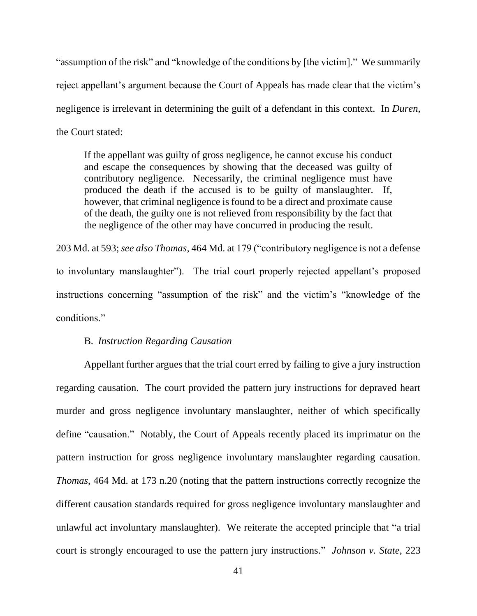"assumption of the risk" and "knowledge of the conditions by [the victim]." We summarily reject appellant's argument because the Court of Appeals has made clear that the victim's negligence is irrelevant in determining the guilt of a defendant in this context. In *Duren*, the Court stated:

If the appellant was guilty of gross negligence, he cannot excuse his conduct and escape the consequences by showing that the deceased was guilty of contributory negligence. Necessarily, the criminal negligence must have produced the death if the accused is to be guilty of manslaughter. If, however, that criminal negligence is found to be a direct and proximate cause of the death, the guilty one is not relieved from responsibility by the fact that the negligence of the other may have concurred in producing the result.

203 Md. at 593;*see also Thomas*, 464 Md. at 179 ("contributory negligence is not a defense to involuntary manslaughter"). The trial court properly rejected appellant's proposed instructions concerning "assumption of the risk" and the victim's "knowledge of the conditions."

#### B. *Instruction Regarding Causation*

Appellant further argues that the trial court erred by failing to give a jury instruction regarding causation. The court provided the pattern jury instructions for depraved heart murder and gross negligence involuntary manslaughter, neither of which specifically define "causation." Notably, the Court of Appeals recently placed its imprimatur on the pattern instruction for gross negligence involuntary manslaughter regarding causation. *Thomas*, 464 Md. at 173 n.20 (noting that the pattern instructions correctly recognize the different causation standards required for gross negligence involuntary manslaughter and unlawful act involuntary manslaughter). We reiterate the accepted principle that "a trial court is strongly encouraged to use the pattern jury instructions." *Johnson v. State*, 223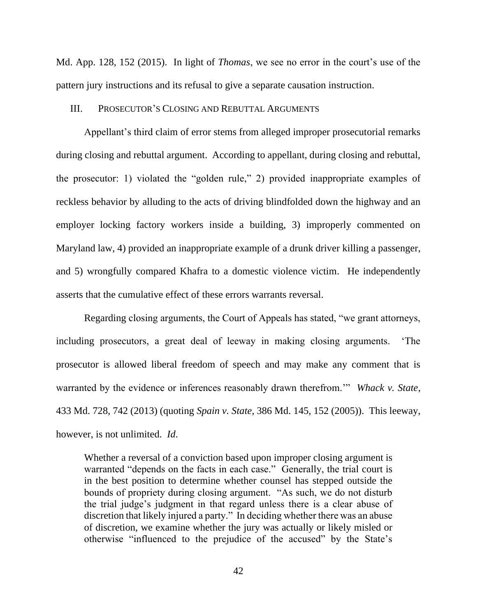Md. App. 128, 152 (2015). In light of *Thomas*, we see no error in the court's use of the pattern jury instructions and its refusal to give a separate causation instruction.

#### III. PROSECUTOR'S CLOSING AND REBUTTAL ARGUMENTS

Appellant's third claim of error stems from alleged improper prosecutorial remarks during closing and rebuttal argument. According to appellant, during closing and rebuttal, the prosecutor: 1) violated the "golden rule," 2) provided inappropriate examples of reckless behavior by alluding to the acts of driving blindfolded down the highway and an employer locking factory workers inside a building, 3) improperly commented on Maryland law, 4) provided an inappropriate example of a drunk driver killing a passenger, and 5) wrongfully compared Khafra to a domestic violence victim. He independently asserts that the cumulative effect of these errors warrants reversal.

Regarding closing arguments, the Court of Appeals has stated, "we grant attorneys, including prosecutors, a great deal of leeway in making closing arguments. 'The prosecutor is allowed liberal freedom of speech and may make any comment that is warranted by the evidence or inferences reasonably drawn therefrom.'" *Whack v. State*, 433 Md. 728, 742 (2013) (quoting *Spain v. State*, 386 Md. 145, 152 (2005)). This leeway, however, is not unlimited. *Id*.

Whether a reversal of a conviction based upon improper closing argument is warranted "depends on the facts in each case." Generally, the trial court is in the best position to determine whether counsel has stepped outside the bounds of propriety during closing argument. "As such, we do not disturb the trial judge's judgment in that regard unless there is a clear abuse of discretion that likely injured a party." In deciding whether there was an abuse of discretion, we examine whether the jury was actually or likely misled or otherwise "influenced to the prejudice of the accused" by the State's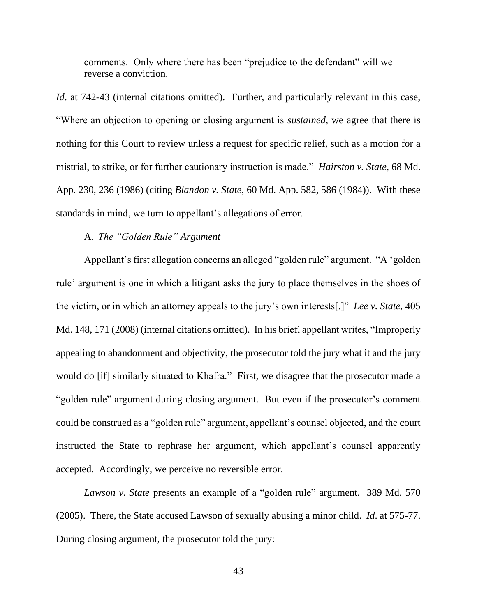comments. Only where there has been "prejudice to the defendant" will we reverse a conviction.

*Id.* at 742-43 (internal citations omitted). Further, and particularly relevant in this case, "Where an objection to opening or closing argument is *sustained*, we agree that there is nothing for this Court to review unless a request for specific relief, such as a motion for a mistrial, to strike, or for further cautionary instruction is made." *Hairston v. State*, 68 Md. App. 230, 236 (1986) (citing *Blandon v. State*, 60 Md. App. 582, 586 (1984)). With these standards in mind, we turn to appellant's allegations of error.

## A. *The "Golden Rule" Argument*

Appellant's first allegation concerns an alleged "golden rule" argument. "A 'golden rule' argument is one in which a litigant asks the jury to place themselves in the shoes of the victim, or in which an attorney appeals to the jury's own interests[.]" *Lee v. State*, 405 Md. 148, 171 (2008) (internal citations omitted). In his brief, appellant writes, "Improperly appealing to abandonment and objectivity, the prosecutor told the jury what it and the jury would do [if] similarly situated to Khafra." First, we disagree that the prosecutor made a "golden rule" argument during closing argument. But even if the prosecutor's comment could be construed as a "golden rule" argument, appellant's counsel objected, and the court instructed the State to rephrase her argument, which appellant's counsel apparently accepted. Accordingly, we perceive no reversible error.

*Lawson v. State* presents an example of a "golden rule" argument. 389 Md. 570 (2005). There, the State accused Lawson of sexually abusing a minor child. *Id*. at 575-77. During closing argument, the prosecutor told the jury: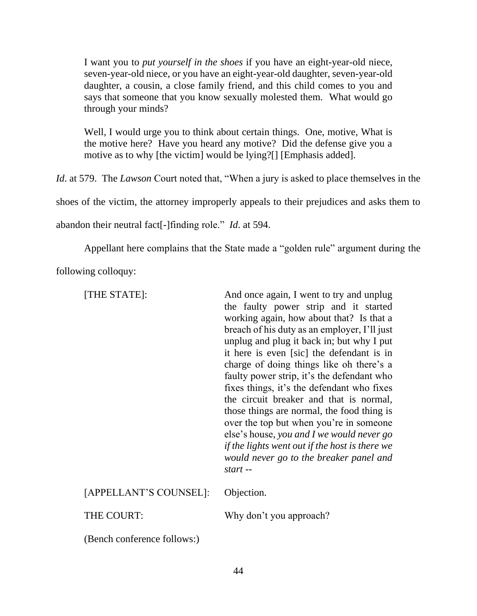I want you to *put yourself in the shoes* if you have an eight-year-old niece, seven-year-old niece, or you have an eight-year-old daughter, seven-year-old daughter, a cousin, a close family friend, and this child comes to you and says that someone that you know sexually molested them. What would go through your minds?

Well, I would urge you to think about certain things. One, motive, What is the motive here? Have you heard any motive? Did the defense give you a motive as to why [the victim] would be lying?[] [Emphasis added].

*Id*. at 579. The *Lawson* Court noted that, "When a jury is asked to place themselves in the

shoes of the victim, the attorney improperly appeals to their prejudices and asks them to

abandon their neutral fact[-]finding role." *Id*. at 594.

Appellant here complains that the State made a "golden rule" argument during the

following colloquy:

|            | [THE STATE]:                | And once again, I went to try and unplug<br>the faulty power strip and it started<br>working again, how about that? Is that a<br>breach of his duty as an employer, I'll just<br>unplug and plug it back in; but why I put<br>it here is even [sic] the defendant is in<br>charge of doing things like oh there's a<br>faulty power strip, it's the defendant who<br>fixes things, it's the defendant who fixes<br>the circuit breaker and that is normal,<br>those things are normal, the food thing is<br>over the top but when you're in someone<br>else's house, you and I we would never go<br>if the lights went out if the host is there we<br>would never go to the breaker panel and<br>start -- |
|------------|-----------------------------|-----------------------------------------------------------------------------------------------------------------------------------------------------------------------------------------------------------------------------------------------------------------------------------------------------------------------------------------------------------------------------------------------------------------------------------------------------------------------------------------------------------------------------------------------------------------------------------------------------------------------------------------------------------------------------------------------------------|
|            |                             | Why don't you approach?                                                                                                                                                                                                                                                                                                                                                                                                                                                                                                                                                                                                                                                                                   |
| THE COURT: | (Bench conference follows:) |                                                                                                                                                                                                                                                                                                                                                                                                                                                                                                                                                                                                                                                                                                           |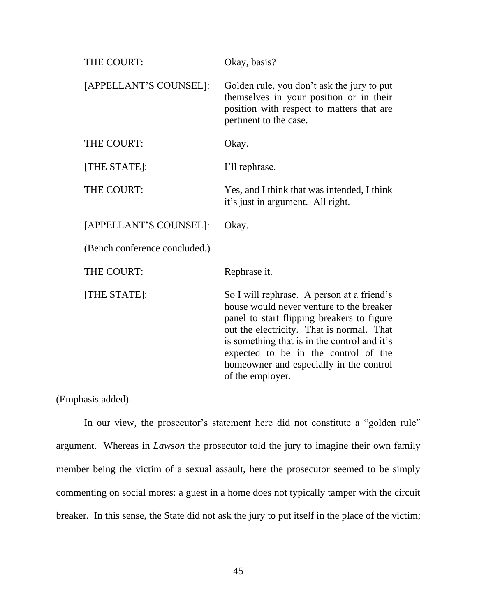| THE COURT:                    | Okay, basis?                                                                                                                                                                                                                                                                                                                             |
|-------------------------------|------------------------------------------------------------------------------------------------------------------------------------------------------------------------------------------------------------------------------------------------------------------------------------------------------------------------------------------|
| [APPELLANT'S COUNSEL]:        | Golden rule, you don't ask the jury to put<br>themselves in your position or in their<br>position with respect to matters that are<br>pertinent to the case.                                                                                                                                                                             |
| THE COURT:                    | Okay.                                                                                                                                                                                                                                                                                                                                    |
| [THE STATE]:                  | I'll rephrase.                                                                                                                                                                                                                                                                                                                           |
| THE COURT:                    | Yes, and I think that was intended, I think<br>it's just in argument. All right.                                                                                                                                                                                                                                                         |
| [APPELLANT'S COUNSEL]:        | Okay.                                                                                                                                                                                                                                                                                                                                    |
| (Bench conference concluded.) |                                                                                                                                                                                                                                                                                                                                          |
| THE COURT:                    | Rephrase it.                                                                                                                                                                                                                                                                                                                             |
| [THE STATE]:                  | So I will rephrase. A person at a friend's<br>house would never venture to the breaker<br>panel to start flipping breakers to figure<br>out the electricity. That is normal. That<br>is something that is in the control and it's<br>expected to be in the control of the<br>homeowner and especially in the control<br>of the employer. |

(Emphasis added).

In our view, the prosecutor's statement here did not constitute a "golden rule" argument. Whereas in *Lawson* the prosecutor told the jury to imagine their own family member being the victim of a sexual assault, here the prosecutor seemed to be simply commenting on social mores: a guest in a home does not typically tamper with the circuit breaker. In this sense, the State did not ask the jury to put itself in the place of the victim;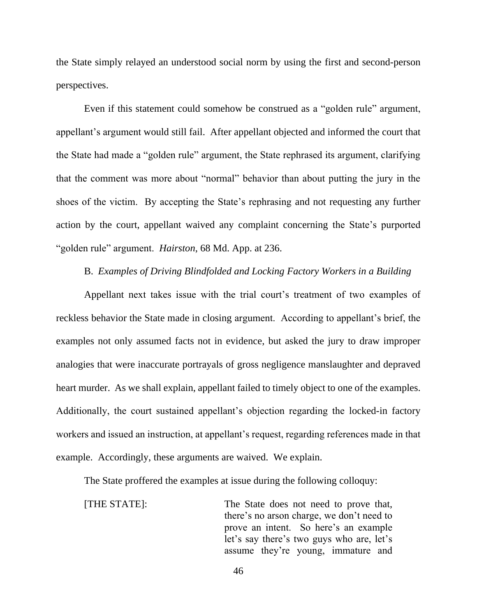the State simply relayed an understood social norm by using the first and second-person perspectives.

Even if this statement could somehow be construed as a "golden rule" argument, appellant's argument would still fail. After appellant objected and informed the court that the State had made a "golden rule" argument, the State rephrased its argument, clarifying that the comment was more about "normal" behavior than about putting the jury in the shoes of the victim. By accepting the State's rephrasing and not requesting any further action by the court, appellant waived any complaint concerning the State's purported "golden rule" argument. *Hairston*, 68 Md. App. at 236.

# B. *Examples of Driving Blindfolded and Locking Factory Workers in a Building*

Appellant next takes issue with the trial court's treatment of two examples of reckless behavior the State made in closing argument. According to appellant's brief, the examples not only assumed facts not in evidence, but asked the jury to draw improper analogies that were inaccurate portrayals of gross negligence manslaughter and depraved heart murder. As we shall explain, appellant failed to timely object to one of the examples. Additionally, the court sustained appellant's objection regarding the locked-in factory workers and issued an instruction, at appellant's request, regarding references made in that example. Accordingly, these arguments are waived. We explain.

The State proffered the examples at issue during the following colloquy:

[THE STATE]: The State does not need to prove that, there's no arson charge, we don't need to prove an intent. So here's an example let's say there's two guys who are, let's assume they're young, immature and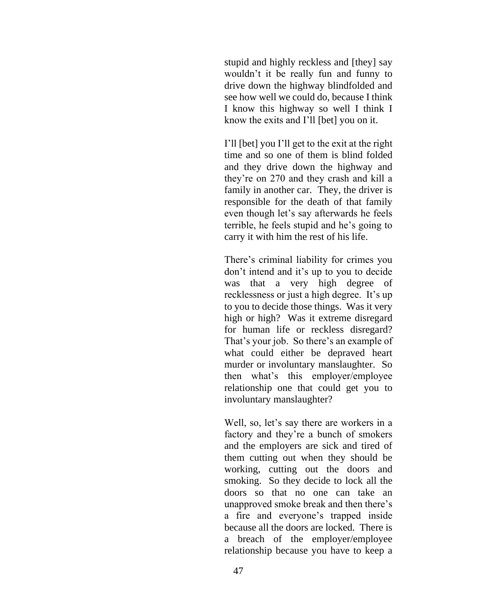stupid and highly reckless and [they] say wouldn't it be really fun and funny to drive down the highway blindfolded and see how well we could do, because I think I know this highway so well I think I know the exits and I'll [bet] you on it.

I'll [bet] you I'll get to the exit at the right time and so one of them is blind folded and they drive down the highway and they're on 270 and they crash and kill a family in another car. They, the driver is responsible for the death of that family even though let's say afterwards he feels terrible, he feels stupid and he's going to carry it with him the rest of his life.

There's criminal liability for crimes you don't intend and it's up to you to decide was that a very high degree of recklessness or just a high degree. It's up to you to decide those things. Was it very high or high? Was it extreme disregard for human life or reckless disregard? That's your job. So there's an example of what could either be depraved heart murder or involuntary manslaughter. So then what's this employer/employee relationship one that could get you to involuntary manslaughter?

Well, so, let's say there are workers in a factory and they're a bunch of smokers and the employers are sick and tired of them cutting out when they should be working, cutting out the doors and smoking. So they decide to lock all the doors so that no one can take an unapproved smoke break and then there's a fire and everyone's trapped inside because all the doors are locked. There is a breach of the employer/employee relationship because you have to keep a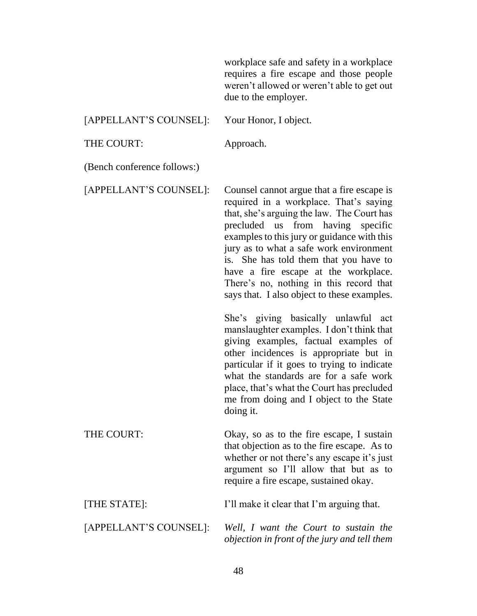workplace safe and safety in a workplace requires a fire escape and those people weren't allowed or weren't able to get out due to the employer. [APPELLANT'S COUNSEL]: Your Honor, I object. THE COURT: Approach. (Bench conference follows:) [APPELLANT'S COUNSEL]: Counsel cannot argue that a fire escape is required in a workplace. That's saying that, she's arguing the law. The Court has precluded us from having specific examples to this jury or guidance with this jury as to what a safe work environment is. She has told them that you have to have a fire escape at the workplace. There's no, nothing in this record that says that. I also object to these examples. She's giving basically unlawful act manslaughter examples. I don't think that giving examples, factual examples of other incidences is appropriate but in particular if it goes to trying to indicate what the standards are for a safe work place, that's what the Court has precluded me from doing and I object to the State doing it. THE COURT: Okay, so as to the fire escape, I sustain that objection as to the fire escape. As to whether or not there's any escape it's just argument so I'll allow that but as to require a fire escape, sustained okay. [THE STATE]: I'll make it clear that I'm arguing that. [APPELLANT'S COUNSEL]: *Well, I want the Court to sustain the objection in front of the jury and tell them*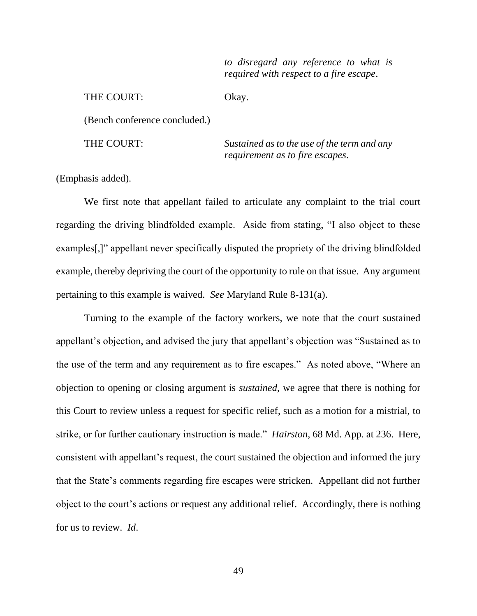*to disregard any reference to what is required with respect to a fire escape*.

THE COURT: Okay.

(Bench conference concluded.)

THE COURT: *Sustained as to the use of the term and any requirement as to fire escapes*.

(Emphasis added).

We first note that appellant failed to articulate any complaint to the trial court regarding the driving blindfolded example. Aside from stating, "I also object to these examples[,]" appellant never specifically disputed the propriety of the driving blindfolded example, thereby depriving the court of the opportunity to rule on that issue. Any argument pertaining to this example is waived. *See* Maryland Rule 8-131(a).

Turning to the example of the factory workers, we note that the court sustained appellant's objection, and advised the jury that appellant's objection was "Sustained as to the use of the term and any requirement as to fire escapes." As noted above, "Where an objection to opening or closing argument is *sustained*, we agree that there is nothing for this Court to review unless a request for specific relief, such as a motion for a mistrial, to strike, or for further cautionary instruction is made." *Hairston*, 68 Md. App. at 236. Here, consistent with appellant's request, the court sustained the objection and informed the jury that the State's comments regarding fire escapes were stricken. Appellant did not further object to the court's actions or request any additional relief. Accordingly, there is nothing for us to review. *Id*.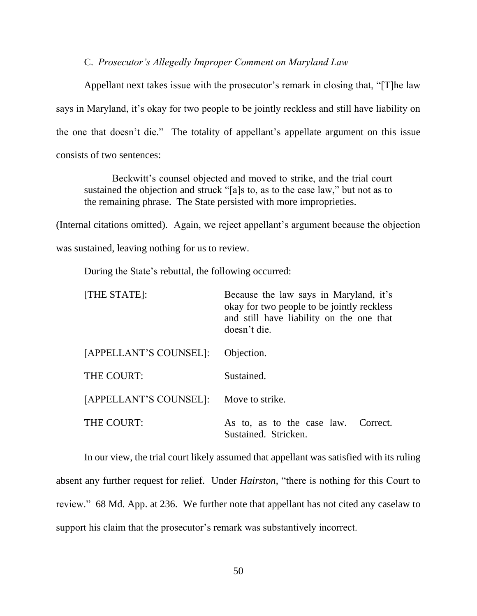### C. *Prosecutor's Allegedly Improper Comment on Maryland Law*

Appellant next takes issue with the prosecutor's remark in closing that, "[T]he law says in Maryland, it's okay for two people to be jointly reckless and still have liability on the one that doesn't die." The totality of appellant's appellate argument on this issue consists of two sentences:

Beckwitt's counsel objected and moved to strike, and the trial court sustained the objection and struck "[a]s to, as to the case law," but not as to the remaining phrase. The State persisted with more improprieties.

(Internal citations omitted). Again, we reject appellant's argument because the objection

was sustained, leaving nothing for us to review.

During the State's rebuttal, the following occurred:

| [THE STATE]:           | Because the law says in Maryland, it's<br>okay for two people to be jointly reckless<br>and still have liability on the one that<br>doesn't die. |
|------------------------|--------------------------------------------------------------------------------------------------------------------------------------------------|
| [APPELLANT'S COUNSEL]: | Objection.                                                                                                                                       |
| THE COURT:             | Sustained.                                                                                                                                       |
| [APPELLANT'S COUNSEL]: | Move to strike.                                                                                                                                  |
| THE COURT:             | As to, as to the case law.<br>Correct.<br>Sustained. Stricken.                                                                                   |

In our view, the trial court likely assumed that appellant was satisfied with its ruling absent any further request for relief. Under *Hairston*, "there is nothing for this Court to review." 68 Md. App. at 236. We further note that appellant has not cited any caselaw to support his claim that the prosecutor's remark was substantively incorrect.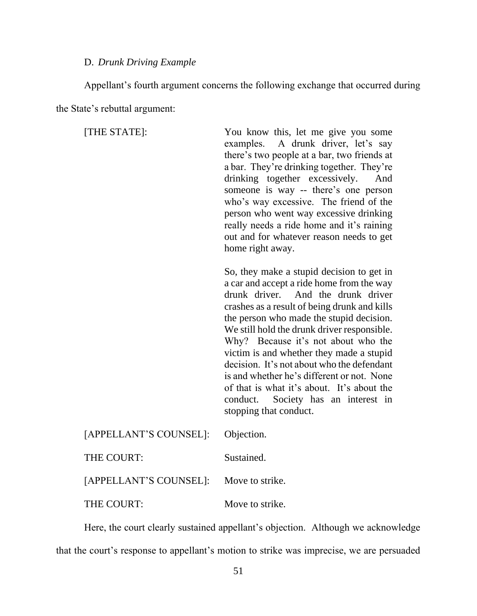#### D. *Drunk Driving Example*

Appellant's fourth argument concerns the following exchange that occurred during the State's rebuttal argument:

[THE STATE]: You know this, let me give you some examples. A drunk driver, let's say there's two people at a bar, two friends at a bar. They're drinking together. They're drinking together excessively. And someone is way -- there's one person who's way excessive. The friend of the person who went way excessive drinking really needs a ride home and it's raining out and for whatever reason needs to get home right away. So, they make a stupid decision to get in a car and accept a ride home from the way drunk driver. And the drunk driver crashes as a result of being drunk and kills the person who made the stupid decision. We still hold the drunk driver responsible. Why? Because it's not about who the victim is and whether they made a stupid decision. It's not about who the defendant is and whether he's different or not. None of that is what it's about. It's about the conduct. Society has an interest in stopping that conduct.  $[ADDELI]$   $ADIT'S$   $COLIDICEL$ .  $OLi_{2}$ 

| $[APPELLANI]$ SCOUNSEL $[$ : Objection. |                 |
|-----------------------------------------|-----------------|
| THE COURT:                              | Sustained.      |
| [APPELLANT'S COUNSEL]: Move to strike.  |                 |
| THE COURT:                              | Move to strike. |

Here, the court clearly sustained appellant's objection. Although we acknowledge that the court's response to appellant's motion to strike was imprecise, we are persuaded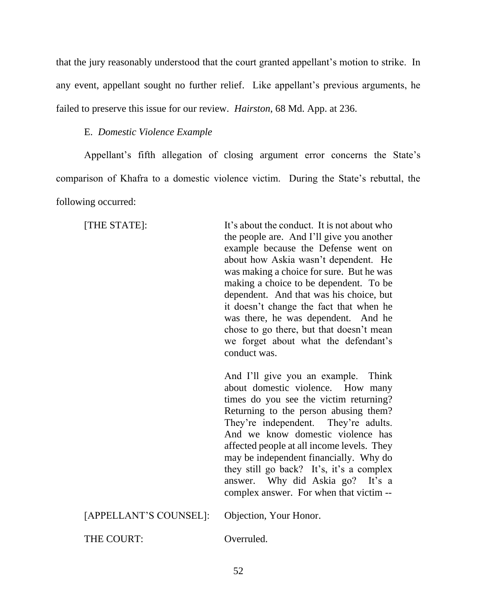that the jury reasonably understood that the court granted appellant's motion to strike. In any event, appellant sought no further relief. Like appellant's previous arguments, he failed to preserve this issue for our review. *Hairston*, 68 Md. App. at 236.

### E. *Domestic Violence Example*

Appellant's fifth allegation of closing argument error concerns the State's comparison of Khafra to a domestic violence victim. During the State's rebuttal, the following occurred:

[THE STATE]: It's about the conduct. It is not about who the people are. And I'll give you another example because the Defense went on about how Askia wasn't dependent. He was making a choice for sure. But he was making a choice to be dependent. To be dependent. And that was his choice, but it doesn't change the fact that when he was there, he was dependent. And he chose to go there, but that doesn't mean we forget about what the defendant's conduct was.

> And I'll give you an example. Think about domestic violence. How many times do you see the victim returning? Returning to the person abusing them? They're independent. They're adults. And we know domestic violence has affected people at all income levels. They may be independent financially. Why do they still go back? It's, it's a complex answer. Why did Askia go? It's a complex answer. For when that victim --

| [APPELLANT'S COUNSEL]: Objection, Your Honor. |            |
|-----------------------------------------------|------------|
| THE COURT:                                    | Overruled. |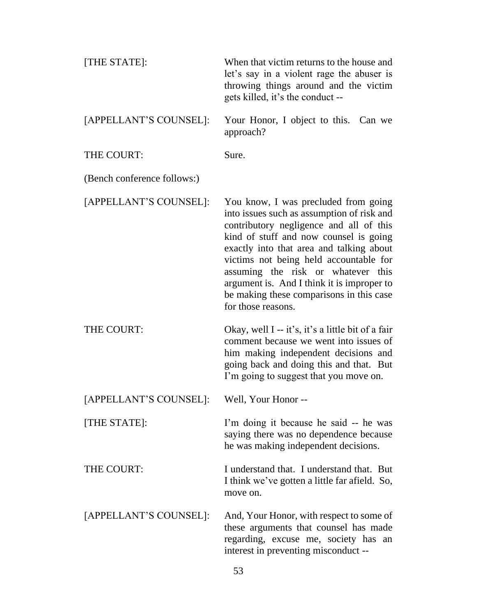| [THE STATE]:                | When that victim returns to the house and<br>let's say in a violent rage the abuser is<br>throwing things around and the victim<br>gets killed, it's the conduct --                                                                                                                                                                                                                                                 |
|-----------------------------|---------------------------------------------------------------------------------------------------------------------------------------------------------------------------------------------------------------------------------------------------------------------------------------------------------------------------------------------------------------------------------------------------------------------|
| [APPELLANT'S COUNSEL]:      | Your Honor, I object to this. Can we<br>approach?                                                                                                                                                                                                                                                                                                                                                                   |
| THE COURT:                  | Sure.                                                                                                                                                                                                                                                                                                                                                                                                               |
| (Bench conference follows:) |                                                                                                                                                                                                                                                                                                                                                                                                                     |
| [APPELLANT'S COUNSEL]:      | You know, I was precluded from going<br>into issues such as assumption of risk and<br>contributory negligence and all of this<br>kind of stuff and now counsel is going<br>exactly into that area and talking about<br>victims not being held accountable for<br>assuming the risk or whatever this<br>argument is. And I think it is improper to<br>be making these comparisons in this case<br>for those reasons. |
| THE COURT:                  | Okay, well I -- it's, it's a little bit of a fair<br>comment because we went into issues of<br>him making independent decisions and<br>going back and doing this and that. But<br>I'm going to suggest that you move on.                                                                                                                                                                                            |
| [APPELLANT'S COUNSEL]:      | Well, Your Honor --                                                                                                                                                                                                                                                                                                                                                                                                 |
| [THE STATE]:                | I'm doing it because he said -- he was<br>saying there was no dependence because<br>he was making independent decisions.                                                                                                                                                                                                                                                                                            |
| THE COURT:                  | I understand that. I understand that. But<br>I think we've gotten a little far afield. So,<br>move on.                                                                                                                                                                                                                                                                                                              |
| [APPELLANT'S COUNSEL]:      | And, Your Honor, with respect to some of<br>these arguments that counsel has made<br>regarding, excuse me, society has an<br>interest in preventing misconduct --                                                                                                                                                                                                                                                   |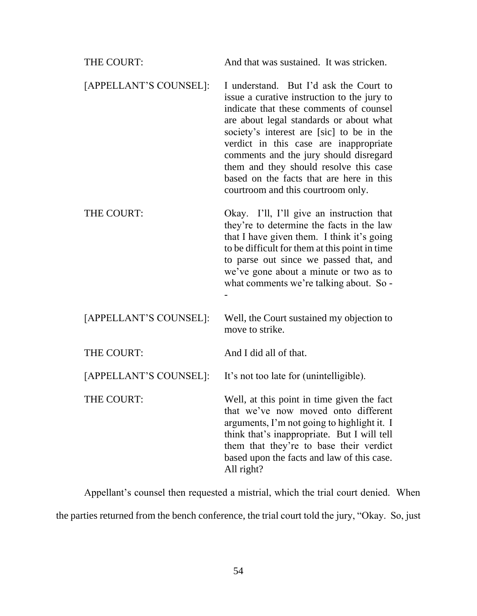| THE COURT:             | And that was sustained. It was stricken.                                                                                                                                                                                                                                                                                                                                                                                                 |
|------------------------|------------------------------------------------------------------------------------------------------------------------------------------------------------------------------------------------------------------------------------------------------------------------------------------------------------------------------------------------------------------------------------------------------------------------------------------|
| [APPELLANT'S COUNSEL]: | I understand. But I'd ask the Court to<br>issue a curative instruction to the jury to<br>indicate that these comments of counsel<br>are about legal standards or about what<br>society's interest are [sic] to be in the<br>verdict in this case are inappropriate<br>comments and the jury should disregard<br>them and they should resolve this case<br>based on the facts that are here in this<br>courtroom and this courtroom only. |
| THE COURT:             | Okay. I'll, I'll give an instruction that<br>they're to determine the facts in the law<br>that I have given them. I think it's going<br>to be difficult for them at this point in time<br>to parse out since we passed that, and<br>we've gone about a minute or two as to<br>what comments we're talking about. So -                                                                                                                    |
| [APPELLANT'S COUNSEL]: | Well, the Court sustained my objection to<br>move to strike.                                                                                                                                                                                                                                                                                                                                                                             |
| THE COURT:             | And I did all of that.                                                                                                                                                                                                                                                                                                                                                                                                                   |
| [APPELLANT'S COUNSEL]: | It's not too late for (unintelligible).                                                                                                                                                                                                                                                                                                                                                                                                  |
| THE COURT:             | Well, at this point in time given the fact<br>that we've now moved onto different<br>arguments, I'm not going to highlight it. I<br>think that's inappropriate. But I will tell<br>them that they're to base their verdict<br>based upon the facts and law of this case.<br>All right?                                                                                                                                                   |

Appellant's counsel then requested a mistrial, which the trial court denied. When the parties returned from the bench conference, the trial court told the jury, "Okay. So, just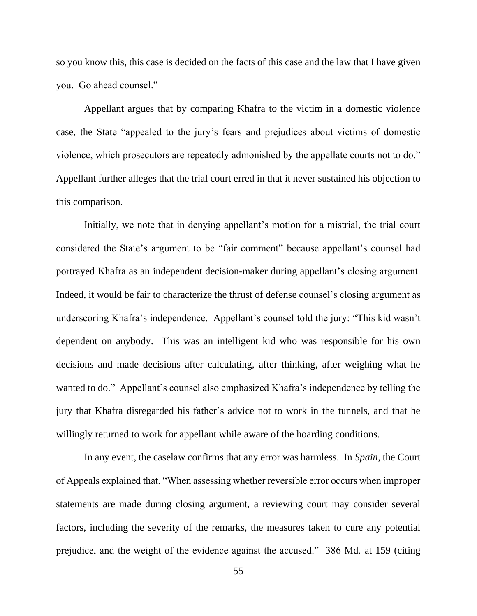so you know this, this case is decided on the facts of this case and the law that I have given you. Go ahead counsel."

Appellant argues that by comparing Khafra to the victim in a domestic violence case, the State "appealed to the jury's fears and prejudices about victims of domestic violence, which prosecutors are repeatedly admonished by the appellate courts not to do." Appellant further alleges that the trial court erred in that it never sustained his objection to this comparison.

Initially, we note that in denying appellant's motion for a mistrial, the trial court considered the State's argument to be "fair comment" because appellant's counsel had portrayed Khafra as an independent decision-maker during appellant's closing argument. Indeed, it would be fair to characterize the thrust of defense counsel's closing argument as underscoring Khafra's independence. Appellant's counsel told the jury: "This kid wasn't dependent on anybody. This was an intelligent kid who was responsible for his own decisions and made decisions after calculating, after thinking, after weighing what he wanted to do." Appellant's counsel also emphasized Khafra's independence by telling the jury that Khafra disregarded his father's advice not to work in the tunnels, and that he willingly returned to work for appellant while aware of the hoarding conditions.

In any event, the caselaw confirms that any error was harmless. In *Spain*, the Court of Appeals explained that, "When assessing whether reversible error occurs when improper statements are made during closing argument, a reviewing court may consider several factors, including the severity of the remarks, the measures taken to cure any potential prejudice, and the weight of the evidence against the accused." 386 Md. at 159 (citing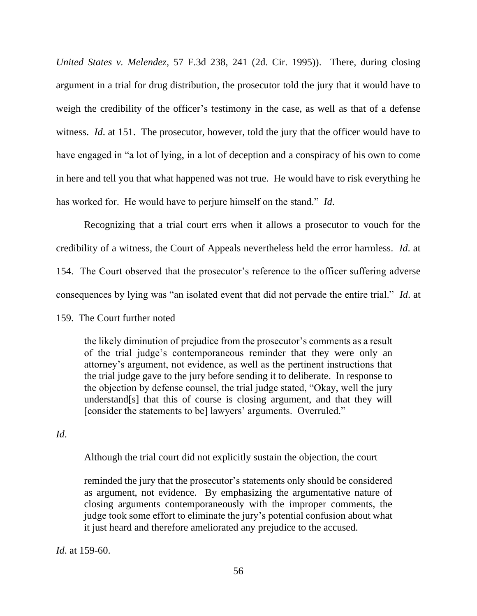*United States v. Melendez*, 57 F.3d 238, 241 (2d. Cir. 1995)). There, during closing argument in a trial for drug distribution, the prosecutor told the jury that it would have to weigh the credibility of the officer's testimony in the case, as well as that of a defense witness. *Id.* at 151. The prosecutor, however, told the jury that the officer would have to have engaged in "a lot of lying, in a lot of deception and a conspiracy of his own to come in here and tell you that what happened was not true. He would have to risk everything he has worked for. He would have to perjure himself on the stand." *Id*.

Recognizing that a trial court errs when it allows a prosecutor to vouch for the credibility of a witness, the Court of Appeals nevertheless held the error harmless. *Id*. at 154. The Court observed that the prosecutor's reference to the officer suffering adverse consequences by lying was "an isolated event that did not pervade the entire trial." *Id*. at

159. The Court further noted

the likely diminution of prejudice from the prosecutor's comments as a result of the trial judge's contemporaneous reminder that they were only an attorney's argument, not evidence, as well as the pertinent instructions that the trial judge gave to the jury before sending it to deliberate. In response to the objection by defense counsel, the trial judge stated, "Okay, well the jury understand[s] that this of course is closing argument, and that they will [consider the statements to be] lawyers' arguments. Overruled."

*Id*.

Although the trial court did not explicitly sustain the objection, the court

reminded the jury that the prosecutor's statements only should be considered as argument, not evidence. By emphasizing the argumentative nature of closing arguments contemporaneously with the improper comments, the judge took some effort to eliminate the jury's potential confusion about what it just heard and therefore ameliorated any prejudice to the accused.

*Id*. at 159-60.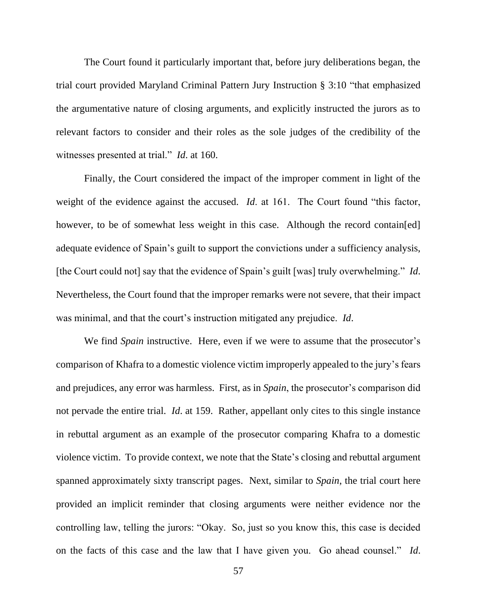The Court found it particularly important that, before jury deliberations began, the trial court provided Maryland Criminal Pattern Jury Instruction § 3:10 "that emphasized the argumentative nature of closing arguments, and explicitly instructed the jurors as to relevant factors to consider and their roles as the sole judges of the credibility of the witnesses presented at trial." *Id*. at 160.

Finally, the Court considered the impact of the improper comment in light of the weight of the evidence against the accused. *Id.* at 161. The Court found "this factor, however, to be of somewhat less weight in this case. Although the record contain[ed] adequate evidence of Spain's guilt to support the convictions under a sufficiency analysis, [the Court could not] say that the evidence of Spain's guilt [was] truly overwhelming." *Id*. Nevertheless, the Court found that the improper remarks were not severe, that their impact was minimal, and that the court's instruction mitigated any prejudice. *Id*.

We find *Spain* instructive. Here, even if we were to assume that the prosecutor's comparison of Khafra to a domestic violence victim improperly appealed to the jury's fears and prejudices, any error was harmless. First, as in *Spain*, the prosecutor's comparison did not pervade the entire trial. *Id*. at 159. Rather, appellant only cites to this single instance in rebuttal argument as an example of the prosecutor comparing Khafra to a domestic violence victim. To provide context, we note that the State's closing and rebuttal argument spanned approximately sixty transcript pages. Next, similar to *Spain*, the trial court here provided an implicit reminder that closing arguments were neither evidence nor the controlling law, telling the jurors: "Okay. So, just so you know this, this case is decided on the facts of this case and the law that I have given you. Go ahead counsel." *Id*.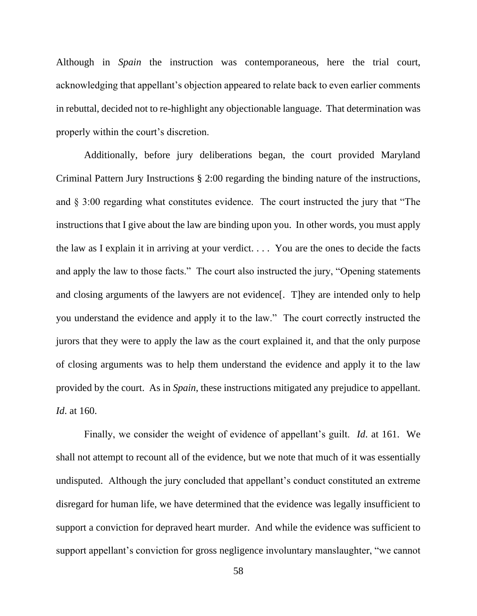Although in *Spain* the instruction was contemporaneous, here the trial court, acknowledging that appellant's objection appeared to relate back to even earlier comments in rebuttal, decided not to re-highlight any objectionable language. That determination was properly within the court's discretion.

Additionally, before jury deliberations began, the court provided Maryland Criminal Pattern Jury Instructions § 2:00 regarding the binding nature of the instructions, and § 3:00 regarding what constitutes evidence. The court instructed the jury that "The instructions that I give about the law are binding upon you. In other words, you must apply the law as I explain it in arriving at your verdict. . . . You are the ones to decide the facts and apply the law to those facts." The court also instructed the jury, "Opening statements and closing arguments of the lawyers are not evidence[. T]hey are intended only to help you understand the evidence and apply it to the law." The court correctly instructed the jurors that they were to apply the law as the court explained it, and that the only purpose of closing arguments was to help them understand the evidence and apply it to the law provided by the court. As in *Spain*, these instructions mitigated any prejudice to appellant. *Id*. at 160.

Finally, we consider the weight of evidence of appellant's guilt. *Id*. at 161. We shall not attempt to recount all of the evidence, but we note that much of it was essentially undisputed. Although the jury concluded that appellant's conduct constituted an extreme disregard for human life, we have determined that the evidence was legally insufficient to support a conviction for depraved heart murder. And while the evidence was sufficient to support appellant's conviction for gross negligence involuntary manslaughter, "we cannot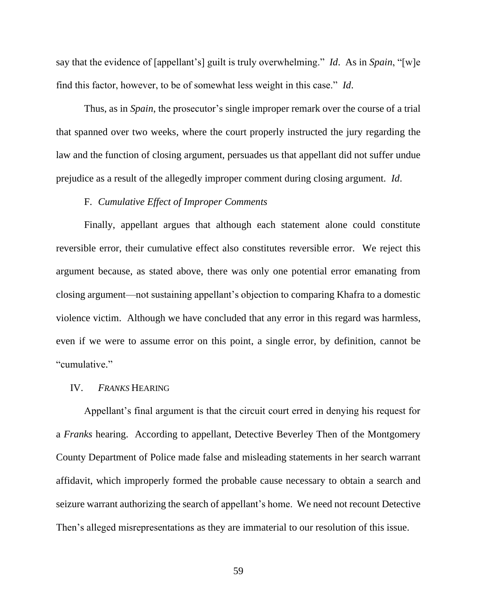say that the evidence of [appellant's] guilt is truly overwhelming." *Id*. As in *Spain*, "[w]e find this factor, however, to be of somewhat less weight in this case." *Id*.

Thus, as in *Spain*, the prosecutor's single improper remark over the course of a trial that spanned over two weeks, where the court properly instructed the jury regarding the law and the function of closing argument, persuades us that appellant did not suffer undue prejudice as a result of the allegedly improper comment during closing argument. *Id*.

## F. *Cumulative Effect of Improper Comments*

Finally, appellant argues that although each statement alone could constitute reversible error, their cumulative effect also constitutes reversible error. We reject this argument because, as stated above, there was only one potential error emanating from closing argument—not sustaining appellant's objection to comparing Khafra to a domestic violence victim. Although we have concluded that any error in this regard was harmless, even if we were to assume error on this point, a single error, by definition, cannot be "cumulative."

#### IV. *FRANKS* HEARING

Appellant's final argument is that the circuit court erred in denying his request for a *Franks* hearing. According to appellant, Detective Beverley Then of the Montgomery County Department of Police made false and misleading statements in her search warrant affidavit, which improperly formed the probable cause necessary to obtain a search and seizure warrant authorizing the search of appellant's home. We need not recount Detective Then's alleged misrepresentations as they are immaterial to our resolution of this issue.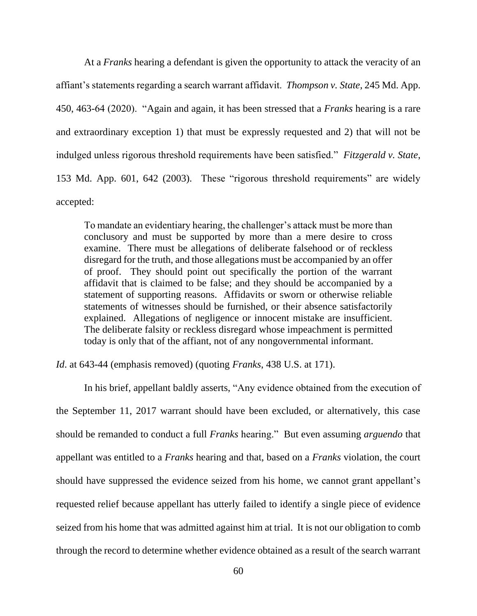At a *Franks* hearing a defendant is given the opportunity to attack the veracity of an affiant's statements regarding a search warrant affidavit. *Thompson v. State*, 245 Md. App. 450, 463-64 (2020). "Again and again, it has been stressed that a *Franks* hearing is a rare and extraordinary exception 1) that must be expressly requested and 2) that will not be indulged unless rigorous threshold requirements have been satisfied." *Fitzgerald v. State*, 153 Md. App. 601, 642 (2003). These "rigorous threshold requirements" are widely accepted:

To mandate an evidentiary hearing, the challenger's attack must be more than conclusory and must be supported by more than a mere desire to cross examine. There must be allegations of deliberate falsehood or of reckless disregard for the truth, and those allegations must be accompanied by an offer of proof. They should point out specifically the portion of the warrant affidavit that is claimed to be false; and they should be accompanied by a statement of supporting reasons. Affidavits or sworn or otherwise reliable statements of witnesses should be furnished, or their absence satisfactorily explained. Allegations of negligence or innocent mistake are insufficient. The deliberate falsity or reckless disregard whose impeachment is permitted today is only that of the affiant, not of any nongovernmental informant.

*Id*. at 643-44 (emphasis removed) (quoting *Franks*, 438 U.S. at 171).

In his brief, appellant baldly asserts, "Any evidence obtained from the execution of the September 11, 2017 warrant should have been excluded, or alternatively, this case should be remanded to conduct a full *Franks* hearing." But even assuming *arguendo* that appellant was entitled to a *Franks* hearing and that, based on a *Franks* violation, the court should have suppressed the evidence seized from his home, we cannot grant appellant's requested relief because appellant has utterly failed to identify a single piece of evidence seized from his home that was admitted against him at trial. It is not our obligation to comb through the record to determine whether evidence obtained as a result of the search warrant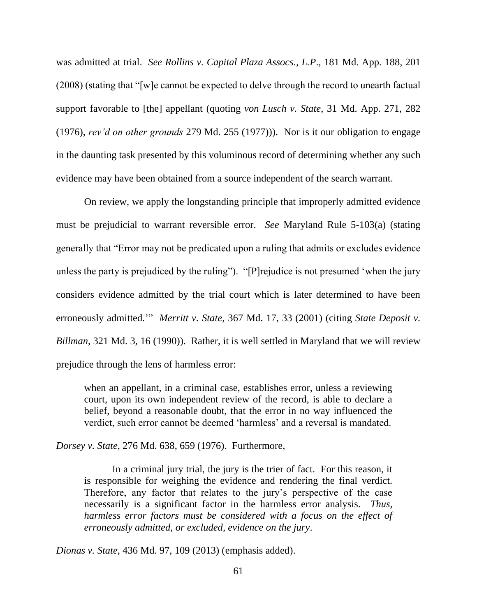was admitted at trial. *See Rollins v. Capital Plaza Assocs., L.P*., 181 Md. App. 188, 201 (2008) (stating that "[w]e cannot be expected to delve through the record to unearth factual support favorable to [the] appellant (quoting *von Lusch v. State*, 31 Md. App. 271, 282 (1976), *rev'd on other grounds* 279 Md. 255 (1977))). Nor is it our obligation to engage in the daunting task presented by this voluminous record of determining whether any such evidence may have been obtained from a source independent of the search warrant.

On review, we apply the longstanding principle that improperly admitted evidence must be prejudicial to warrant reversible error. *See* Maryland Rule 5-103(a) (stating generally that "Error may not be predicated upon a ruling that admits or excludes evidence unless the party is prejudiced by the ruling"). "[P]rejudice is not presumed 'when the jury considers evidence admitted by the trial court which is later determined to have been erroneously admitted.'" *Merritt v. State*, 367 Md. 17, 33 (2001) (citing *State Deposit v. Billman*, 321 Md. 3, 16 (1990)). Rather, it is well settled in Maryland that we will review prejudice through the lens of harmless error:

when an appellant, in a criminal case, establishes error, unless a reviewing court, upon its own independent review of the record, is able to declare a belief, beyond a reasonable doubt, that the error in no way influenced the verdict, such error cannot be deemed 'harmless' and a reversal is mandated.

*Dorsey v. State*, 276 Md. 638, 659 (1976). Furthermore,

In a criminal jury trial, the jury is the trier of fact. For this reason, it is responsible for weighing the evidence and rendering the final verdict. Therefore, any factor that relates to the jury's perspective of the case necessarily is a significant factor in the harmless error analysis. *Thus, harmless error factors must be considered with a focus on the effect of erroneously admitted, or excluded, evidence on the jury*.

*Dionas v. State*, 436 Md. 97, 109 (2013) (emphasis added).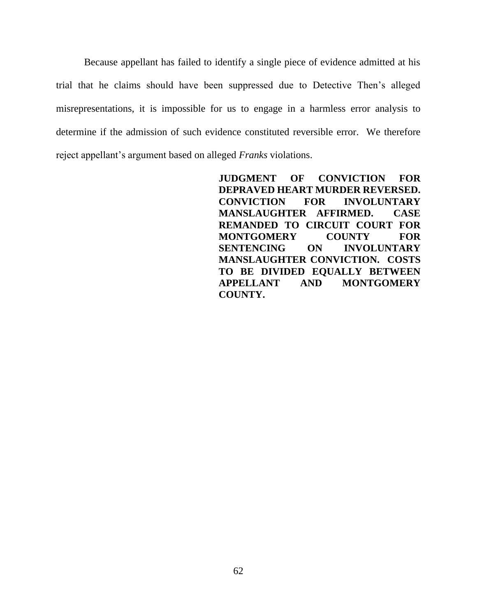Because appellant has failed to identify a single piece of evidence admitted at his trial that he claims should have been suppressed due to Detective Then's alleged misrepresentations, it is impossible for us to engage in a harmless error analysis to determine if the admission of such evidence constituted reversible error. We therefore reject appellant's argument based on alleged *Franks* violations.

> **JUDGMENT OF CONVICTION FOR DEPRAVED HEART MURDER REVERSED. CONVICTION FOR INVOLUNTARY MANSLAUGHTER AFFIRMED. CASE REMANDED TO CIRCUIT COURT FOR MONTGOMERY COUNTY FOR SENTENCING ON INVOLUNTARY MANSLAUGHTER CONVICTION. COSTS TO BE DIVIDED EQUALLY BETWEEN APPELLANT AND MONTGOMERY COUNTY.**